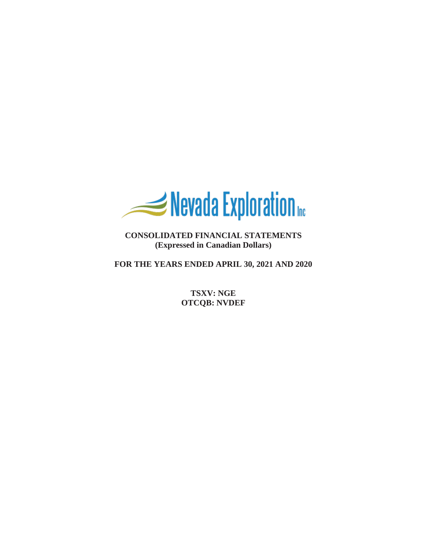

**CONSOLIDATED FINANCIAL STATEMENTS (Expressed in Canadian Dollars)**

**FOR THE YEARS ENDED APRIL 30, 2021 AND 2020**

**TSXV: NGE OTCQB: NVDEF**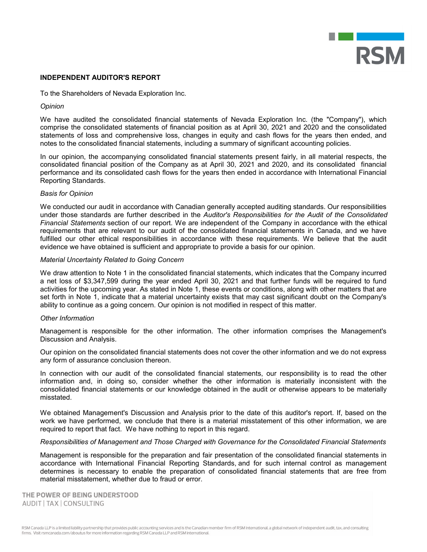

### **INDEPENDENT AUDITOR'S REPORT**

To the Shareholders of Nevada Exploration Inc.

### *Opinion*

We have audited the consolidated financial statements of Nevada Exploration Inc. (the "Company"), which comprise the consolidated statements of financial position as at April 30, 2021 and 2020 and the consolidated statements of loss and comprehensive loss, changes in equity and cash flows for the years then ended, and notes to the consolidated financial statements, including a summary of significant accounting policies.

In our opinion, the accompanying consolidated financial statements present fairly, in all material respects, the consolidated financial position of the Company as at April 30, 2021 and 2020, and its consolidated financial performance and its consolidated cash flows for the years then ended in accordance with International Financial Reporting Standards.

### *Basis for Opinion*

We conducted our audit in accordance with Canadian generally accepted auditing standards. Our responsibilities under those standards are further described in the *Auditor's Responsibilities for the Audit of the Consolidated Financial Statements* section of our report. We are independent of the Company in accordance with the ethical requirements that are relevant to our audit of the consolidated financial statements in Canada, and we have fulfilled our other ethical responsibilities in accordance with these requirements. We believe that the audit evidence we have obtained is sufficient and appropriate to provide a basis for our opinion.

### *Material Uncertainty Related to Going Concern*

We draw attention to Note 1 in the consolidated financial statements, which indicates that the Company incurred a net loss of \$3,347,599 during the year ended April 30, 2021 and that further funds will be required to fund activities for the upcoming year. As stated in Note 1, these events or conditions, along with other matters that are set forth in Note 1, indicate that a material uncertainty exists that may cast significant doubt on the Company's ability to continue as a going concern. Our opinion is not modified in respect of this matter.

# *Other Information*

Management is responsible for the other information. The other information comprises the Management's Discussion and Analysis.

Our opinion on the consolidated financial statements does not cover the other information and we do not express any form of assurance conclusion thereon.

In connection with our audit of the consolidated financial statements, our responsibility is to read the other information and, in doing so, consider whether the other information is materially inconsistent with the consolidated financial statements or our knowledge obtained in the audit or otherwise appears to be materially misstated.

We obtained Management's Discussion and Analysis prior to the date of this auditor's report. If, based on the work we have performed, we conclude that there is a material misstatement of this other information, we are required to report that fact. We have nothing to report in this regard.

#### *Responsibilities of Management and Those Charged with Governance for the Consolidated Financial Statements*

Management is responsible for the preparation and fair presentation of the consolidated financial statements in accordance with International Financial Reporting Standards, and for such internal control as management determines is necessary to enable the preparation of consolidated financial statements that are free from material misstatement, whether due to fraud or error.

THE POWER OF BEING UNDERSTOOD AUDIT | TAX | CONSULTING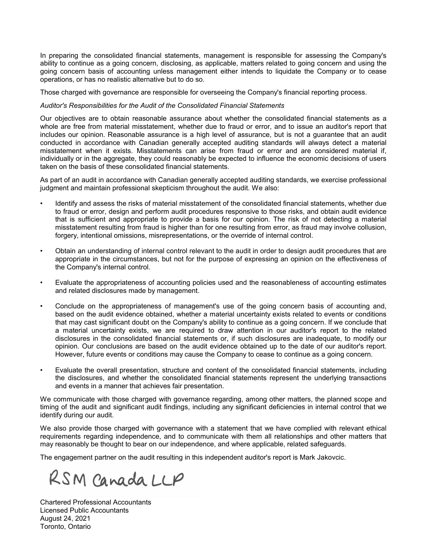In preparing the consolidated financial statements, management is responsible for assessing the Company's ability to continue as a going concern, disclosing, as applicable, matters related to going concern and using the going concern basis of accounting unless management either intends to liquidate the Company or to cease operations, or has no realistic alternative but to do so.

Those charged with governance are responsible for overseeing the Company's financial reporting process.

# *Auditor's Responsibilities for the Audit of the Consolidated Financial Statements*

Our objectives are to obtain reasonable assurance about whether the consolidated financial statements as a whole are free from material misstatement, whether due to fraud or error, and to issue an auditor's report that includes our opinion. Reasonable assurance is a high level of assurance, but is not a guarantee that an audit conducted in accordance with Canadian generally accepted auditing standards will always detect a material misstatement when it exists. Misstatements can arise from fraud or error and are considered material if, individually or in the aggregate, they could reasonably be expected to influence the economic decisions of users taken on the basis of these consolidated financial statements.

As part of an audit in accordance with Canadian generally accepted auditing standards, we exercise professional judgment and maintain professional skepticism throughout the audit. We also:

- Identify and assess the risks of material misstatement of the consolidated financial statements, whether due to fraud or error, design and perform audit procedures responsive to those risks, and obtain audit evidence that is sufficient and appropriate to provide a basis for our opinion. The risk of not detecting a material misstatement resulting from fraud is higher than for one resulting from error, as fraud may involve collusion, forgery, intentional omissions, misrepresentations, or the override of internal control.
- Obtain an understanding of internal control relevant to the audit in order to design audit procedures that are appropriate in the circumstances, but not for the purpose of expressing an opinion on the effectiveness of the Company's internal control.
- Evaluate the appropriateness of accounting policies used and the reasonableness of accounting estimates and related disclosures made by management.
- Conclude on the appropriateness of management's use of the going concern basis of accounting and, based on the audit evidence obtained, whether a material uncertainty exists related to events or conditions that may cast significant doubt on the Company's ability to continue as a going concern. If we conclude that a material uncertainty exists, we are required to draw attention in our auditor's report to the related disclosures in the consolidated financial statements or, if such disclosures are inadequate, to modify our opinion. Our conclusions are based on the audit evidence obtained up to the date of our auditor's report. However, future events or conditions may cause the Company to cease to continue as a going concern.
- Evaluate the overall presentation, structure and content of the consolidated financial statements, including the disclosures, and whether the consolidated financial statements represent the underlying transactions and events in a manner that achieves fair presentation.

We communicate with those charged with governance regarding, among other matters, the planned scope and timing of the audit and significant audit findings, including any significant deficiencies in internal control that we identify during our audit.

We also provide those charged with governance with a statement that we have complied with relevant ethical requirements regarding independence, and to communicate with them all relationships and other matters that may reasonably be thought to bear on our independence, and where applicable, related safeguards.

The engagement partner on the audit resulting in this independent auditor's report is Mark Jakovcic.

RSM Canada LLP

Chartered Professional Accountants Licensed Public Accountants August 24, 2021 Toronto, Ontario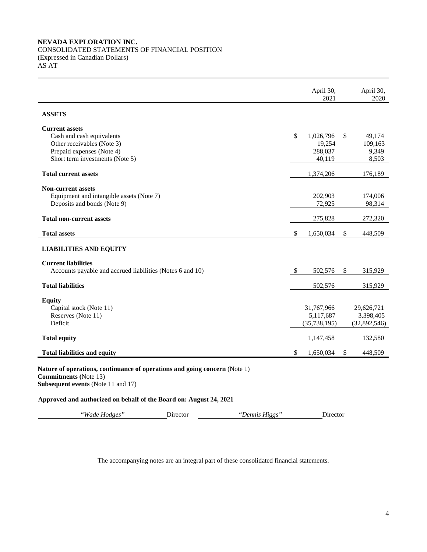# **NEVADA EXPLORATION INC.**

÷

CONSOLIDATED STATEMENTS OF FINANCIAL POSITION (Expressed in Canadian Dollars) AS AT

|                                                                                                                                                  |          |                | April 30,<br>2021                         |               | April 30,<br>2020                       |
|--------------------------------------------------------------------------------------------------------------------------------------------------|----------|----------------|-------------------------------------------|---------------|-----------------------------------------|
| <b>ASSETS</b>                                                                                                                                    |          |                |                                           |               |                                         |
| <b>Current assets</b><br>Cash and cash equivalents<br>Other receivables (Note 3)                                                                 |          |                | \$<br>1,026,796<br>19,254                 | \$            | 49,174<br>109,163                       |
| Prepaid expenses (Note 4)<br>Short term investments (Note 5)                                                                                     |          |                | 288,037<br>40,119                         |               | 9,349<br>8,503                          |
| <b>Total current assets</b>                                                                                                                      |          |                | 1,374,206                                 |               | 176,189                                 |
| <b>Non-current assets</b><br>Equipment and intangible assets (Note 7)<br>Deposits and bonds (Note 9)                                             |          |                | 202,903<br>72,925                         |               | 174,006<br>98,314                       |
| <b>Total non-current assets</b>                                                                                                                  |          |                | 275,828                                   |               | 272,320                                 |
| <b>Total assets</b>                                                                                                                              |          |                | \$<br>1,650,034                           | \$            | 448,509                                 |
| <b>LIABILITIES AND EQUITY</b>                                                                                                                    |          |                |                                           |               |                                         |
| <b>Current liabilities</b><br>Accounts payable and accrued liabilities (Notes 6 and 10)                                                          |          |                | \$<br>502,576                             | \$            | 315,929                                 |
| <b>Total liabilities</b>                                                                                                                         |          |                | 502,576                                   |               | 315,929                                 |
| <b>Equity</b><br>Capital stock (Note 11)<br>Reserves (Note 11)<br>Deficit                                                                        |          |                | 31,767,966<br>5,117,687<br>(35, 738, 195) |               | 29,626,721<br>3,398,405<br>(32,892,546) |
| <b>Total equity</b>                                                                                                                              |          |                | 1,147,458                                 |               | 132,580                                 |
| <b>Total liabilities and equity</b>                                                                                                              |          |                | \$<br>1,650,034                           | $\mathcal{S}$ | 448,509                                 |
| Nature of operations, continuance of operations and going concern (Note 1)<br><b>Commitments</b> (Note 13)<br>Subsequent events (Note 11 and 17) |          |                |                                           |               |                                         |
| Approved and authorized on behalf of the Board on: August 24, 2021                                                                               |          |                |                                           |               |                                         |
| "Wade Hodges"                                                                                                                                    | Director | "Dennis Higgs" | Director                                  |               |                                         |

The accompanying notes are an integral part of these consolidated financial statements.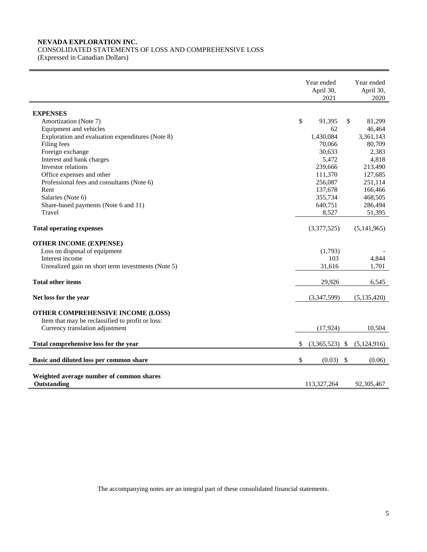# **NEVADA EXPLORATION INC.**

CONSOLIDATED STATEMENTS OF LOSS AND COMPREHENSIVE LOSS

(Expressed in Canadian Dollars)

|                                                                                       | Year ended<br>April 30,<br>2021 |                  |    | Year ended<br>April 30,<br>2020 |
|---------------------------------------------------------------------------------------|---------------------------------|------------------|----|---------------------------------|
| <b>EXPENSES</b>                                                                       |                                 |                  |    |                                 |
| Amortization (Note 7)                                                                 | \$                              | 91,395           | \$ | 81,299                          |
| Equipment and vehicles                                                                |                                 | 62               |    | 46,464                          |
| Exploration and evaluation expenditures (Note 8)                                      |                                 | 1,430,084        |    | 3,361,143                       |
| Filing fees                                                                           |                                 | 70,066           |    | 80,709                          |
| Foreign exchange                                                                      |                                 | 30,633           |    | 2,383                           |
| Interest and bank charges                                                             |                                 | 5,472            |    | 4,818                           |
| Investor relations                                                                    |                                 | 239,666          |    | 213,490                         |
| Office expenses and other                                                             |                                 | 111,370          |    | 127,685                         |
| Professional fees and consultants (Note 6)                                            |                                 | 256,087          |    | 251,114                         |
| Rent                                                                                  |                                 | 137,678          |    | 166,466                         |
| Salaries (Note 6)                                                                     |                                 | 355,734          |    | 468,505                         |
| Share-based payments (Note 6 and 11)                                                  |                                 | 640,751          |    | 286,494                         |
| Travel                                                                                |                                 | 8,527            |    | 51,395                          |
| <b>Total operating expenses</b>                                                       |                                 | (3,377,525)      |    | (5, 141, 965)                   |
| <b>OTHER INCOME (EXPENSE)</b>                                                         |                                 |                  |    |                                 |
| Loss on disposal of equipment                                                         |                                 | (1,793)          |    |                                 |
| Interest income                                                                       |                                 | 103              |    | 4,844                           |
| Unrealized gain on short term investments (Note 5)                                    |                                 | 31,616           |    | 1,701                           |
| <b>Total other items</b>                                                              |                                 | 29,926           |    | 6,545                           |
|                                                                                       |                                 |                  |    |                                 |
| Net loss for the year                                                                 |                                 | (3,347,599)      |    | (5, 135, 420)                   |
| OTHER COMPREHENSIVE INCOME (LOSS)<br>Item that may be reclassified to profit or loss: |                                 |                  |    |                                 |
| Currency translation adjustment                                                       |                                 | (17, 924)        |    | 10,504                          |
| Total comprehensive loss for the year                                                 | \$                              | $(3,365,523)$ \$ |    | (5, 124, 916)                   |
| Basic and diluted loss per common share                                               | \$                              | (0.03)           | \$ | (0.06)                          |
|                                                                                       |                                 |                  |    |                                 |
| Weighted average number of common shares<br>Outstanding                               |                                 | 113.327.264      |    | 92,305,467                      |

The accompanying notes are an integral part of these consolidated financial statements.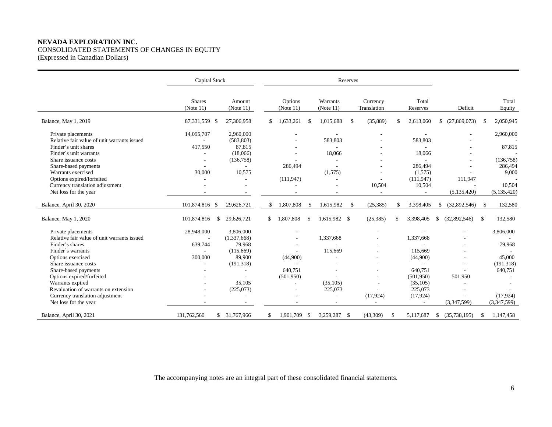# **NEVADA EXPLORATION INC.** CONSOLIDATED STATEMENTS OF CHANGES IN EQUITY (Expressed in Canadian Dollars)

|                                             | Capital Stock              |                     | Reserves             |               |                          |    |                         |     |                   |    |                    |               |                 |
|---------------------------------------------|----------------------------|---------------------|----------------------|---------------|--------------------------|----|-------------------------|-----|-------------------|----|--------------------|---------------|-----------------|
|                                             | <b>Shares</b><br>(Note 11) | Amount<br>(Note 11) | Options<br>(Note 11) |               | Warrants<br>(Note 11)    |    | Currency<br>Translation |     | Total<br>Reserves |    | Deficit            |               | Total<br>Equity |
| Balance, May 1, 2019                        | 87,331,559 \$              | 27,306,958          | \$<br>1,633,261      | \$            | 1,015,688                | \$ | (35,889)                | \$  | 2,613,060         |    | $$^{(27,869,073)}$ | -\$           | 2,050,945       |
| Private placements                          | 14,095,707                 | 2,960,000           |                      |               |                          |    |                         |     |                   |    |                    |               | 2,960,000       |
| Relative fair value of unit warrants issued |                            | (583, 803)          |                      |               | 583,803                  |    |                         |     | 583,803           |    |                    |               |                 |
| Finder's unit shares                        | 417,550                    | 87,815              |                      |               |                          |    |                         |     |                   |    |                    |               | 87,815          |
| Finder's unit warrants                      |                            | (18,066)            | $\overline{a}$       |               | 18,066                   |    |                         |     | 18,066            |    |                    |               |                 |
| Share issuance costs                        |                            | (136, 758)          |                      |               |                          |    |                         |     |                   |    |                    |               | (136,758)       |
| Share-based payments                        |                            |                     | 286,494              |               |                          |    |                         |     | 286,494           |    |                    |               | 286,494         |
| Warrants exercised                          | 30,000                     | 10,575              |                      |               | (1,575)                  |    |                         |     | (1,575)           |    |                    |               | 9,000           |
| Options expired/forfeited                   |                            |                     | (111, 947)           |               |                          |    |                         |     | (111, 947)        |    | 111,947            |               |                 |
| Currency translation adjustment             |                            |                     |                      |               |                          |    | 10,504                  |     | 10,504            |    |                    |               | 10,504          |
| Net loss for the year                       |                            |                     |                      |               |                          |    | $\overline{a}$          |     | ÷.                |    | (5, 135, 420)      |               | (5, 135, 420)   |
| Balance, April 30, 2020                     | 101,874,816 \$             | 29,626,721          | \$<br>1,807,808      | -S            | 1,615,982                | -S | (25, 385)               | \$. | 3,398,405         | \$ | (32,892,546)       | -\$           | 132,580         |
| Balance, May 1, 2020                        | 101,874,816                | 29,626,721<br>\$    | \$<br>1,807,808      | <sup>\$</sup> | 1,615,982 \$             |    | (25, 385)               |     | 3,398,405         | S. | (32,892,546)       | <sup>\$</sup> | 132,580         |
| Private placements                          | 28,948,000                 | 3,806,000           |                      |               |                          |    |                         |     |                   |    |                    |               | 3,806,000       |
| Relative fair value of unit warrants issued |                            | (1,337,668)         |                      |               | 1,337,668                |    |                         |     | 1,337,668         |    |                    |               |                 |
| Finder's shares                             | 639,744                    | 79,968              |                      |               |                          |    |                         |     |                   |    |                    |               | 79,968          |
| Finder's warrants                           |                            | (115,669)           |                      |               | 115,669                  |    |                         |     | 115.669           |    |                    |               |                 |
| Options exercised                           | 300,000                    | 89,900              | (44,900)             |               | ٠                        |    |                         |     | (44,900)          |    |                    |               | 45,000          |
| Share issuance costs                        |                            | (191, 318)          |                      |               |                          |    |                         |     |                   |    |                    |               | (191, 318)      |
| Share-based payments                        |                            |                     | 640,751              |               |                          |    |                         |     | 640.751           |    |                    |               | 640,751         |
| Options expired/forfeited                   |                            |                     | (501,950)            |               |                          |    |                         |     | (501, 950)        |    | 501,950            |               |                 |
| Warrants expired                            |                            | 35,105              | $\sim$               |               | (35, 105)                |    |                         |     | (35,105)          |    | L.                 |               |                 |
| Revaluation of warrants on extension        |                            | (225,073)           | $\overline{a}$       |               | 225,073                  |    |                         |     | 225,073           |    |                    |               |                 |
| Currency translation adjustment             |                            |                     |                      |               | $\overline{\phantom{a}}$ |    | (17, 924)               |     | (17, 924)         |    |                    |               | (17,924)        |
| Net loss for the year                       |                            |                     |                      |               |                          |    |                         |     |                   |    | (3,347,599)        |               | (3,347,599)     |
| Balance, April 30, 2021                     | 131,762,560                | \$ 31,767,966       | 1,901,709            | -S            | 3,259,287                | -S | (43,309)                | \$  | 5,117,687         | \$ | (35, 738, 195)     | <sup>\$</sup> | 1,147,458       |

The accompanying notes are an integral part of these consolidated financial statements.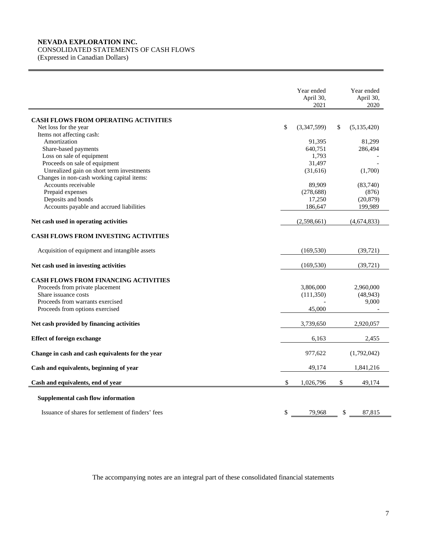# **NEVADA EXPLORATION INC.**

# CONSOLIDATED STATEMENTS OF CASH FLOWS

(Expressed in Canadian Dollars)

|                                                    | Year ended<br>April 30,<br>2021 | Year ended<br>April 30,<br>2020 |
|----------------------------------------------------|---------------------------------|---------------------------------|
| <b>CASH FLOWS FROM OPERATING ACTIVITIES</b>        |                                 |                                 |
| Net loss for the year                              | \$<br>(3,347,599)               | \$<br>(5,135,420)               |
| Items not affecting cash:                          |                                 |                                 |
| Amortization                                       | 91,395                          | 81,299                          |
| Share-based payments                               | 640,751                         | 286,494                         |
| Loss on sale of equipment                          | 1,793                           |                                 |
| Proceeds on sale of equipment                      | 31,497                          |                                 |
| Unrealized gain on short term investments          | (31,616)                        | (1,700)                         |
| Changes in non-cash working capital items:         |                                 |                                 |
| Accounts receivable                                | 89,909                          | (83,740)                        |
| Prepaid expenses                                   | (278, 688)                      | (876)                           |
| Deposits and bonds                                 | 17,250                          | (20, 879)                       |
| Accounts payable and accrued liabilities           | 186,647                         | 199,989                         |
| Net cash used in operating activities              | (2,598,661)                     | (4,674,833)                     |
| <b>CASH FLOWS FROM INVESTING ACTIVITIES</b>        |                                 |                                 |
| Acquisition of equipment and intangible assets     | (169, 530)                      | (39, 721)                       |
| Net cash used in investing activities              | (169, 530)                      | (39, 721)                       |
| <b>CASH FLOWS FROM FINANCING ACTIVITIES</b>        |                                 |                                 |
| Proceeds from private placement                    | 3,806,000                       | 2,960,000                       |
| Share issuance costs                               | (111,350)                       | (48, 943)                       |
| Proceeds from warrants exercised                   |                                 | 9,000                           |
| Proceeds from options exercised                    | 45,000                          |                                 |
| Net cash provided by financing activities          | 3,739,650                       | 2,920,057                       |
| <b>Effect of foreign exchange</b>                  | 6,163                           | 2,455                           |
| Change in cash and cash equivalents for the year   | 977,622                         | (1,792,042)                     |
| Cash and equivalents, beginning of year            | 49,174                          | 1,841,216                       |
| Cash and equivalents, end of year                  | \$<br>1,026,796                 | \$<br>49,174                    |
| Supplemental cash flow information                 |                                 |                                 |
| Issuance of shares for settlement of finders' fees | \$<br>79,968                    | \$<br>87,815                    |

The accompanying notes are an integral part of these consolidated financial statements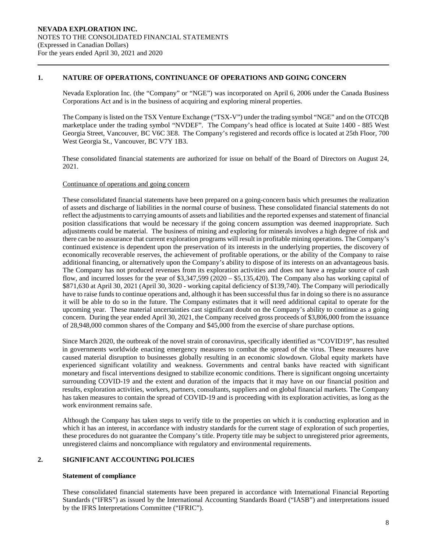### **1. NATURE OF OPERATIONS, CONTINUANCE OF OPERATIONS AND GOING CONCERN**

Nevada Exploration Inc. (the "Company" or "NGE") was incorporated on April 6, 2006 under the Canada Business Corporations Act and is in the business of acquiring and exploring mineral properties.

The Company is listed on the TSX Venture Exchange ("TSX-V") under the trading symbol "NGE" and on the OTCQB marketplace under the trading symbol "NVDEF". The Company's head office is located at Suite 1400 - 885 West Georgia Street, Vancouver, BC V6C 3E8. The Company's registered and records office is located at 25th Floor, 700 West Georgia St., Vancouver, BC V7Y 1B3.

These consolidated financial statements are authorized for issue on behalf of the Board of Directors on August 24, 2021.

### Continuance of operations and going concern

These consolidated financial statements have been prepared on a going-concern basis which presumes the realization of assets and discharge of liabilities in the normal course of business. These consolidated financial statements do not reflect the adjustments to carrying amounts of assets and liabilities and the reported expenses and statement of financial position classifications that would be necessary if the going concern assumption was deemed inappropriate. Such adjustments could be material. The business of mining and exploring for minerals involves a high degree of risk and there can be no assurance that current exploration programs will result in profitable mining operations. The Company's continued existence is dependent upon the preservation of its interests in the underlying properties, the discovery of economically recoverable reserves, the achievement of profitable operations, or the ability of the Company to raise additional financing, or alternatively upon the Company's ability to dispose of its interests on an advantageous basis. The Company has not produced revenues from its exploration activities and does not have a regular source of cash flow, and incurred losses for the year of \$3,347,599 (2020 – \$5,135,420). The Company also has working capital of \$871,630 at April 30, 2021 (April 30, 3020 - working capital deficiency of \$139,740). The Company will periodically have to raise funds to continue operations and, although it has been successful thus far in doing so there is no assurance it will be able to do so in the future. The Company estimates that it will need additional capital to operate for the upcoming year. These material uncertainties cast significant doubt on the Company's ability to continue as a going concern. During the year ended April 30, 2021, the Company received gross proceeds of \$3,806,000 from the issuance of 28,948,000 common shares of the Company and \$45,000 from the exercise of share purchase options.

Since March 2020, the outbreak of the novel strain of coronavirus, specifically identified as "COVID19", has resulted in governments worldwide enacting emergency measures to combat the spread of the virus. These measures have caused material disruption to businesses globally resulting in an economic slowdown. Global equity markets have experienced significant volatility and weakness. Governments and central banks have reacted with significant monetary and fiscal interventions designed to stabilize economic conditions. There is significant ongoing uncertainty surrounding COVID-19 and the extent and duration of the impacts that it may have on our financial position and results, exploration activities, workers, partners, consultants, suppliers and on global financial markets. The Company has taken measures to contain the spread of COVID-19 and is proceeding with its exploration activities, as long as the work environment remains safe.

Although the Company has taken steps to verify title to the properties on which it is conducting exploration and in which it has an interest, in accordance with industry standards for the current stage of exploration of such properties, these procedures do not guarantee the Company's title. Property title may be subject to unregistered prior agreements, unregistered claims and noncompliance with regulatory and environmental requirements.

# **2. SIGNIFICANT ACCOUNTING POLICIES**

#### **Statement of compliance**

These consolidated financial statements have been prepared in accordance with International Financial Reporting Standards ("IFRS") as issued by the International Accounting Standards Board ("IASB") and interpretations issued by the IFRS Interpretations Committee ("IFRIC").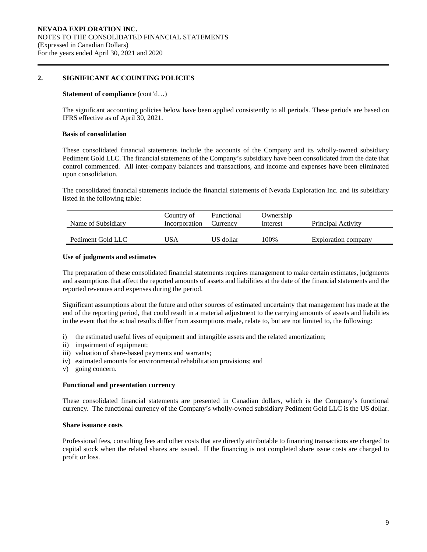### **2. SIGNIFICANT ACCOUNTING POLICIES**

#### **Statement of compliance** (cont'd...)

The significant accounting policies below have been applied consistently to all periods. These periods are based on IFRS effective as of April 30, 2021.

#### **Basis of consolidation**

These consolidated financial statements include the accounts of the Company and its wholly-owned subsidiary Pediment Gold LLC. The financial statements of the Company's subsidiary have been consolidated from the date that control commenced. All inter-company balances and transactions, and income and expenses have been eliminated upon consolidation.

The consolidated financial statements include the financial statements of Nevada Exploration Inc. and its subsidiary listed in the following table:

| Name of Subsidiary | Country of<br>Incorporation | Functional<br>Currency | Ownership<br>Interest | Principal Activity  |  |  |  |
|--------------------|-----------------------------|------------------------|-----------------------|---------------------|--|--|--|
| Pediment Gold LLC  | USA                         | US dollar              | 100%                  | Exploration company |  |  |  |

#### **Use of judgments and estimates**

The preparation of these consolidated financial statements requires management to make certain estimates, judgments and assumptions that affect the reported amounts of assets and liabilities at the date of the financial statements and the reported revenues and expenses during the period.

Significant assumptions about the future and other sources of estimated uncertainty that management has made at the end of the reporting period, that could result in a material adjustment to the carrying amounts of assets and liabilities in the event that the actual results differ from assumptions made, relate to, but are not limited to, the following:

- i) the estimated useful lives of equipment and intangible assets and the related amortization;
- ii) impairment of equipment;
- iii) valuation of share-based payments and warrants;
- iv) estimated amounts for environmental rehabilitation provisions; and
- v) going concern.

#### **Functional and presentation currency**

These consolidated financial statements are presented in Canadian dollars, which is the Company's functional currency. The functional currency of the Company's wholly-owned subsidiary Pediment Gold LLC is the US dollar.

#### **Share issuance costs**

Professional fees, consulting fees and other costs that are directly attributable to financing transactions are charged to capital stock when the related shares are issued. If the financing is not completed share issue costs are charged to profit or loss.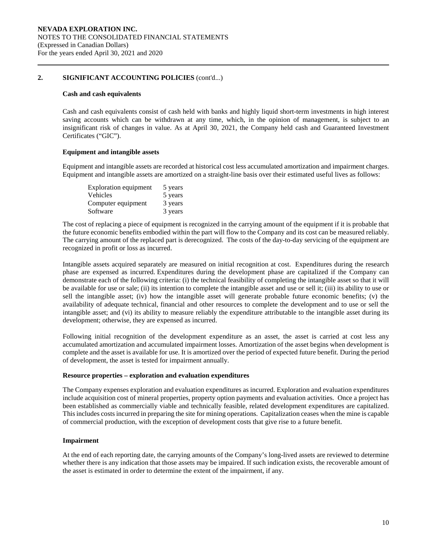### **2. SIGNIFICANT ACCOUNTING POLICIES** (cont'd...)

#### **Cash and cash equivalents**

Cash and cash equivalents consist of cash held with banks and highly liquid short-term investments in high interest saving accounts which can be withdrawn at any time, which, in the opinion of management, is subject to an insignificant risk of changes in value. As at April 30, 2021, the Company held cash and Guaranteed Investment Certificates ("GIC").

#### **Equipment and intangible assets**

Equipment and intangible assets are recorded at historical cost less accumulated amortization and impairment charges. Equipment and intangible assets are amortized on a straight-line basis over their estimated useful lives as follows:

| <b>Exploration equipment</b> | 5 years |
|------------------------------|---------|
| Vehicles                     | 5 years |
| Computer equipment           | 3 years |
| Software                     | 3 years |

The cost of replacing a piece of equipment is recognized in the carrying amount of the equipment if it is probable that the future economic benefits embodied within the part will flow to the Company and its cost can be measured reliably. The carrying amount of the replaced part is derecognized. The costs of the day-to-day servicing of the equipment are recognized in profit or loss as incurred.

Intangible assets acquired separately are measured on initial recognition at cost. Expenditures during the research phase are expensed as incurred. Expenditures during the development phase are capitalized if the Company can demonstrate each of the following criteria: (i) the technical feasibility of completing the intangible asset so that it will be available for use or sale; (ii) its intention to complete the intangible asset and use or sell it; (iii) its ability to use or sell the intangible asset; (iv) how the intangible asset will generate probable future economic benefits; (v) the availability of adequate technical, financial and other resources to complete the development and to use or sell the intangible asset; and (vi) its ability to measure reliably the expenditure attributable to the intangible asset during its development; otherwise, they are expensed as incurred.

Following initial recognition of the development expenditure as an asset, the asset is carried at cost less any accumulated amortization and accumulated impairment losses. Amortization of the asset begins when development is complete and the asset is available for use. It is amortized over the period of expected future benefit. During the period of development, the asset is tested for impairment annually.

#### **Resource properties – exploration and evaluation expenditures**

The Company expenses exploration and evaluation expenditures as incurred. Exploration and evaluation expenditures include acquisition cost of mineral properties, property option payments and evaluation activities. Once a project has been established as commercially viable and technically feasible, related development expenditures are capitalized. This includes costs incurred in preparing the site for mining operations. Capitalization ceases when the mine is capable of commercial production, with the exception of development costs that give rise to a future benefit.

#### **Impairment**

At the end of each reporting date, the carrying amounts of the Company's long-lived assets are reviewed to determine whether there is any indication that those assets may be impaired. If such indication exists, the recoverable amount of the asset is estimated in order to determine the extent of the impairment, if any.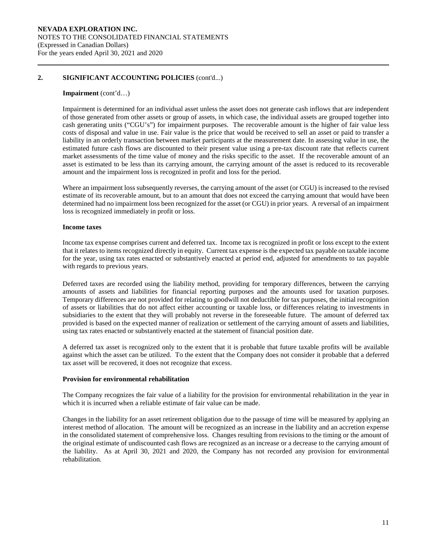### **2. SIGNIFICANT ACCOUNTING POLICIES** (cont'd...)

#### **Impairment** (cont'd…)

Impairment is determined for an individual asset unless the asset does not generate cash inflows that are independent of those generated from other assets or group of assets, in which case, the individual assets are grouped together into cash generating units ("CGU's") for impairment purposes. The recoverable amount is the higher of fair value less costs of disposal and value in use. Fair value is the price that would be received to sell an asset or paid to transfer a liability in an orderly transaction between market participants at the measurement date. In assessing value in use, the estimated future cash flows are discounted to their present value using a pre-tax discount rate that reflects current market assessments of the time value of money and the risks specific to the asset. If the recoverable amount of an asset is estimated to be less than its carrying amount, the carrying amount of the asset is reduced to its recoverable amount and the impairment loss is recognized in profit and loss for the period.

Where an impairment loss subsequently reverses, the carrying amount of the asset (or CGU) is increased to the revised estimate of its recoverable amount, but to an amount that does not exceed the carrying amount that would have been determined had no impairment loss been recognized for the asset (or CGU) in prior years. A reversal of an impairment loss is recognized immediately in profit or loss.

#### **Income taxes**

Income tax expense comprises current and deferred tax. Income tax is recognized in profit or loss except to the extent that it relates to items recognized directly in equity. Current tax expense is the expected tax payable on taxable income for the year, using tax rates enacted or substantively enacted at period end, adjusted for amendments to tax payable with regards to previous years.

Deferred taxes are recorded using the liability method, providing for temporary differences, between the carrying amounts of assets and liabilities for financial reporting purposes and the amounts used for taxation purposes. Temporary differences are not provided for relating to goodwill not deductible for tax purposes, the initial recognition of assets or liabilities that do not affect either accounting or taxable loss, or differences relating to investments in subsidiaries to the extent that they will probably not reverse in the foreseeable future. The amount of deferred tax provided is based on the expected manner of realization or settlement of the carrying amount of assets and liabilities, using tax rates enacted or substantively enacted at the statement of financial position date.

A deferred tax asset is recognized only to the extent that it is probable that future taxable profits will be available against which the asset can be utilized. To the extent that the Company does not consider it probable that a deferred tax asset will be recovered, it does not recognize that excess.

### **Provision for environmental rehabilitation**

The Company recognizes the fair value of a liability for the provision for environmental rehabilitation in the year in which it is incurred when a reliable estimate of fair value can be made.

Changes in the liability for an asset retirement obligation due to the passage of time will be measured by applying an interest method of allocation. The amount will be recognized as an increase in the liability and an accretion expense in the consolidated statement of comprehensive loss. Changes resulting from revisions to the timing or the amount of the original estimate of undiscounted cash flows are recognized as an increase or a decrease to the carrying amount of the liability. As at April 30, 2021 and 2020, the Company has not recorded any provision for environmental rehabilitation.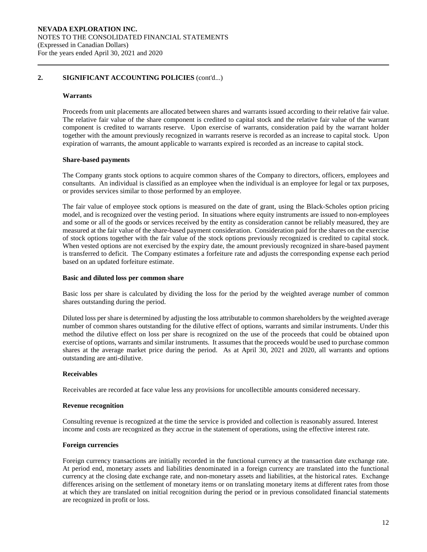### **2. SIGNIFICANT ACCOUNTING POLICIES** (cont'd...)

#### **Warrants**

Proceeds from unit placements are allocated between shares and warrants issued according to their relative fair value. The relative fair value of the share component is credited to capital stock and the relative fair value of the warrant component is credited to warrants reserve. Upon exercise of warrants, consideration paid by the warrant holder together with the amount previously recognized in warrants reserve is recorded as an increase to capital stock. Upon expiration of warrants, the amount applicable to warrants expired is recorded as an increase to capital stock.

#### **Share-based payments**

The Company grants stock options to acquire common shares of the Company to directors, officers, employees and consultants. An individual is classified as an employee when the individual is an employee for legal or tax purposes, or provides services similar to those performed by an employee.

The fair value of employee stock options is measured on the date of grant, using the Black-Scholes option pricing model, and is recognized over the vesting period. In situations where equity instruments are issued to non-employees and some or all of the goods or services received by the entity as consideration cannot be reliably measured, they are measured at the fair value of the share-based payment consideration. Consideration paid for the shares on the exercise of stock options together with the fair value of the stock options previously recognized is credited to capital stock. When vested options are not exercised by the expiry date, the amount previously recognized in share-based payment is transferred to deficit. The Company estimates a forfeiture rate and adjusts the corresponding expense each period based on an updated forfeiture estimate.

#### **Basic and diluted loss per common share**

Basic loss per share is calculated by dividing the loss for the period by the weighted average number of common shares outstanding during the period.

Diluted loss per share is determined by adjusting the loss attributable to common shareholders by the weighted average number of common shares outstanding for the dilutive effect of options, warrants and similar instruments. Under this method the dilutive effect on loss per share is recognized on the use of the proceeds that could be obtained upon exercise of options, warrants and similar instruments. It assumes that the proceeds would be used to purchase common shares at the average market price during the period. As at April 30, 2021 and 2020, all warrants and options outstanding are anti-dilutive.

#### **Receivables**

Receivables are recorded at face value less any provisions for uncollectible amounts considered necessary.

#### **Revenue recognition**

Consulting revenue is recognized at the time the service is provided and collection is reasonably assured. Interest income and costs are recognized as they accrue in the statement of operations, using the effective interest rate.

#### **Foreign currencies**

Foreign currency transactions are initially recorded in the functional currency at the transaction date exchange rate. At period end, monetary assets and liabilities denominated in a foreign currency are translated into the functional currency at the closing date exchange rate, and non-monetary assets and liabilities, at the historical rates. Exchange differences arising on the settlement of monetary items or on translating monetary items at different rates from those at which they are translated on initial recognition during the period or in previous consolidated financial statements are recognized in profit or loss.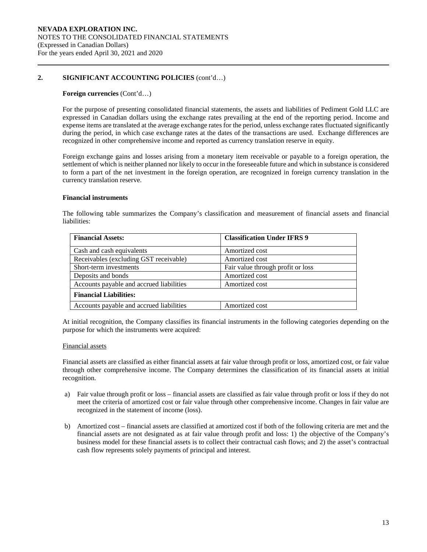### **2. SIGNIFICANT ACCOUNTING POLICIES** (cont'd…)

#### **Foreign currencies** (Cont'd…)

For the purpose of presenting consolidated financial statements, the assets and liabilities of Pediment Gold LLC are expressed in Canadian dollars using the exchange rates prevailing at the end of the reporting period. Income and expense items are translated at the average exchange rates for the period, unless exchange rates fluctuated significantly during the period, in which case exchange rates at the dates of the transactions are used. Exchange differences are recognized in other comprehensive income and reported as currency translation reserve in equity.

Foreign exchange gains and losses arising from a monetary item receivable or payable to a foreign operation, the settlement of which is neither planned nor likely to occur in the foreseeable future and which in substance is considered to form a part of the net investment in the foreign operation, are recognized in foreign currency translation in the currency translation reserve.

#### **Financial instruments**

The following table summarizes the Company's classification and measurement of financial assets and financial liabilities:

| <b>Financial Assets:</b>                 | <b>Classification Under IFRS 9</b> |
|------------------------------------------|------------------------------------|
| Cash and cash equivalents                | Amortized cost                     |
| Receivables (excluding GST receivable)   | Amortized cost                     |
| Short-term investments                   | Fair value through profit or loss  |
| Deposits and bonds                       | Amortized cost                     |
| Accounts payable and accrued liabilities | Amortized cost                     |
| <b>Financial Liabilities:</b>            |                                    |
| Accounts payable and accrued liabilities | Amortized cost                     |

At initial recognition, the Company classifies its financial instruments in the following categories depending on the purpose for which the instruments were acquired:

#### Financial assets

Financial assets are classified as either financial assets at fair value through profit or loss, amortized cost, or fair value through other comprehensive income. The Company determines the classification of its financial assets at initial recognition.

- a) Fair value through profit or loss financial assets are classified as fair value through profit or loss if they do not meet the criteria of amortized cost or fair value through other comprehensive income. Changes in fair value are recognized in the statement of income (loss).
- b) Amortized cost financial assets are classified at amortized cost if both of the following criteria are met and the financial assets are not designated as at fair value through profit and loss: 1) the objective of the Company's business model for these financial assets is to collect their contractual cash flows; and 2) the asset's contractual cash flow represents solely payments of principal and interest.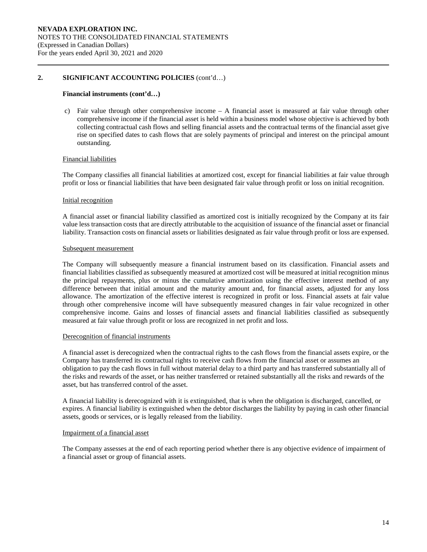# **2. SIGNIFICANT ACCOUNTING POLICIES** (cont'd…)

#### **Financial instruments (cont'd…)**

c) Fair value through other comprehensive income – A financial asset is measured at fair value through other comprehensive income if the financial asset is held within a business model whose objective is achieved by both collecting contractual cash flows and selling financial assets and the contractual terms of the financial asset give rise on specified dates to cash flows that are solely payments of principal and interest on the principal amount outstanding.

#### Financial liabilities

The Company classifies all financial liabilities at amortized cost, except for financial liabilities at fair value through profit or loss or financial liabilities that have been designated fair value through profit or loss on initial recognition.

#### Initial recognition

A financial asset or financial liability classified as amortized cost is initially recognized by the Company at its fair value less transaction costs that are directly attributable to the acquisition of issuance of the financial asset or financial liability. Transaction costs on financial assets or liabilities designated as fair value through profit or loss are expensed.

#### Subsequent measurement

The Company will subsequently measure a financial instrument based on its classification. Financial assets and financial liabilities classified as subsequently measured at amortized cost will be measured at initial recognition minus the principal repayments, plus or minus the cumulative amortization using the effective interest method of any difference between that initial amount and the maturity amount and, for financial assets, adjusted for any loss allowance. The amortization of the effective interest is recognized in profit or loss. Financial assets at fair value through other comprehensive income will have subsequently measured changes in fair value recognized in other comprehensive income. Gains and losses of financial assets and financial liabilities classified as subsequently measured at fair value through profit or loss are recognized in net profit and loss.

#### Derecognition of financial instruments

A financial asset is derecognized when the contractual rights to the cash flows from the financial assets expire, or the Company has transferred its contractual rights to receive cash flows from the financial asset or assumes an obligation to pay the cash flows in full without material delay to a third party and has transferred substantially all of the risks and rewards of the asset, or has neither transferred or retained substantially all the risks and rewards of the asset, but has transferred control of the asset.

A financial liability is derecognized with it is extinguished, that is when the obligation is discharged, cancelled, or expires. A financial liability is extinguished when the debtor discharges the liability by paying in cash other financial assets, goods or services, or is legally released from the liability.

### Impairment of a financial asset

The Company assesses at the end of each reporting period whether there is any objective evidence of impairment of a financial asset or group of financial assets.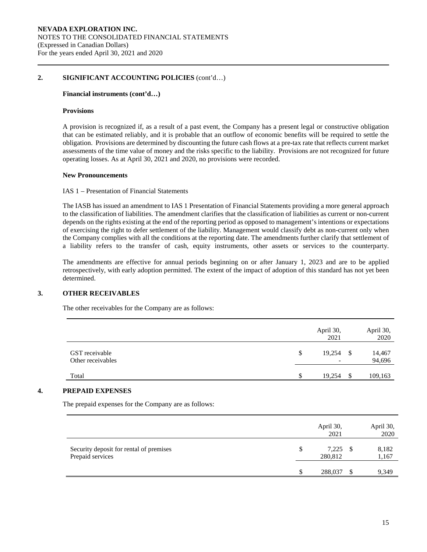### **2. SIGNIFICANT ACCOUNTING POLICIES** (cont'd…)

#### **Financial instruments (cont'd…)**

#### **Provisions**

A provision is recognized if, as a result of a past event, the Company has a present legal or constructive obligation that can be estimated reliably, and it is probable that an outflow of economic benefits will be required to settle the obligation. Provisions are determined by discounting the future cash flows at a pre-tax rate that reflects current market assessments of the time value of money and the risks specific to the liability. Provisions are not recognized for future operating losses. As at April 30, 2021 and 2020, no provisions were recorded.

#### **New Pronouncements**

#### IAS 1 – Presentation of Financial Statements

The IASB has issued an amendment to IAS 1 Presentation of Financial Statements providing a more general approach to the classification of liabilities. The amendment clarifies that the classification of liabilities as current or non-current depends on the rights existing at the end of the reporting period as opposed to management's intentions or expectations of exercising the right to defer settlement of the liability. Management would classify debt as non-current only when the Company complies with all the conditions at the reporting date. The amendments further clarify that settlement of a liability refers to the transfer of cash, equity instruments, other assets or services to the counterparty.

The amendments are effective for annual periods beginning on or after January 1, 2023 and are to be applied retrospectively, with early adoption permitted. The extent of the impact of adoption of this standard has not yet been determined.

### **3. OTHER RECEIVABLES**

The other receivables for the Company are as follows:

|                                     | April 30,<br>2021 |     | April 30,<br>2020 |
|-------------------------------------|-------------------|-----|-------------------|
| GST receivable<br>Other receivables | \$<br>19,254      | -\$ | 14,467<br>94,696  |
| Total                               | \$<br>19,254      | \$. | 109,163           |

# **4. PREPAID EXPENSES**

The prepaid expenses for the Company are as follows:

|                                                             |    | April 30,<br>2021     | April 30,<br>2020 |
|-------------------------------------------------------------|----|-----------------------|-------------------|
| Security deposit for rental of premises<br>Prepaid services | \$ | $7,225$ \$<br>280,812 | 8,182<br>1,167    |
|                                                             | -S | 288,037               | 9,349             |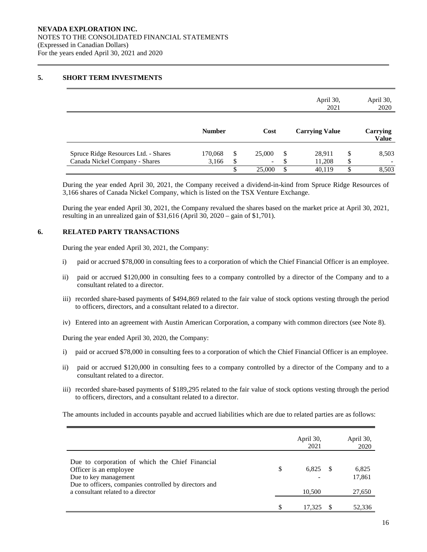### **5. SHORT TERM INVESTMENTS**

|                                      |               |                                |    | April 30,<br>2021     |    | April 30,<br>2020        |
|--------------------------------------|---------------|--------------------------------|----|-----------------------|----|--------------------------|
|                                      | <b>Number</b> | Cost                           |    | <b>Carrying Value</b> |    | Carrying<br><b>Value</b> |
| Spruce Ridge Resources Ltd. - Shares | 170,068       | \$<br>25,000                   | \$ | 28,911                | S  | 8,503                    |
| Canada Nickel Company - Shares       | 3,166         | \$<br>$\overline{\phantom{a}}$ | Φ  | 11,208                | \$ |                          |
|                                      |               | \$<br>25,000                   | \$ | 40,119                | \$ | 8,503                    |

During the year ended April 30, 2021, the Company received a dividend-in-kind from Spruce Ridge Resources of 3,166 shares of Canada Nickel Company, which is listed on the TSX Venture Exchange.

During the year ended April 30, 2021, the Company revalued the shares based on the market price at April 30, 2021, resulting in an unrealized gain of \$31,616 (April 30, 2020 – gain of \$1,701).

# **6. RELATED PARTY TRANSACTIONS**

During the year ended April 30, 2021, the Company:

- i) paid or accrued \$78,000 in consulting fees to a corporation of which the Chief Financial Officer is an employee.
- ii) paid or accrued \$120,000 in consulting fees to a company controlled by a director of the Company and to a consultant related to a director.
- iii) recorded share-based payments of \$494,869 related to the fair value of stock options vesting through the period to officers, directors, and a consultant related to a director.
- iv) Entered into an agreement with Austin American Corporation, a company with common directors (see Note 8).

During the year ended April 30, 2020, the Company:

- i) paid or accrued \$78,000 in consulting fees to a corporation of which the Chief Financial Officer is an employee.
- ii) paid or accrued \$120,000 in consulting fees to a company controlled by a director of the Company and to a consultant related to a director.
- iii) recorded share-based payments of \$189,295 related to the fair value of stock options vesting through the period to officers, directors, and a consultant related to a director.

The amounts included in accounts payable and accrued liabilities which are due to related parties are as follows:

|                                                                                                                                                                                                    | April 30,<br>2021     | April 30,<br>2020         |
|----------------------------------------------------------------------------------------------------------------------------------------------------------------------------------------------------|-----------------------|---------------------------|
| Due to corporation of which the Chief Financial<br>Officer is an employee<br>Due to key management<br>Due to officers, companies controlled by directors and<br>a consultant related to a director | \$<br>6,825<br>10,500 | 6,825<br>17,861<br>27,650 |
|                                                                                                                                                                                                    | 17.325                | 52,336                    |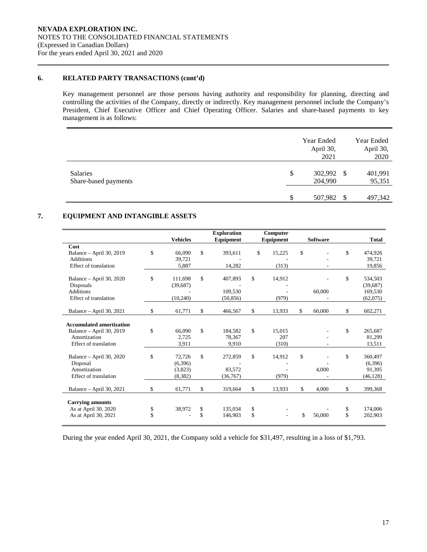# **6. RELATED PARTY TRANSACTIONS (cont'd)**

Key management personnel are those persons having authority and responsibility for planning, directing and controlling the activities of the Company, directly or indirectly. Key management personnel include the Company's President, Chief Executive Officer and Chief Operating Officer. Salaries and share-based payments to key management is as follows:

|                                  |    | Year Ended<br>April 30,<br>2021 |               | Year Ended<br>April 30,<br>2020 |
|----------------------------------|----|---------------------------------|---------------|---------------------------------|
| Salaries<br>Share-based payments | \$ | 302,992 \$<br>204,990           |               | 401,991<br>95,351               |
|                                  | S  | 507,982                         | <sup>\$</sup> | 497,342                         |

# **7. EQUIPMENT AND INTANGIBLE ASSETS**

|                                                      | <b>Vehicles</b>           |    | <b>Exploration</b>   | Computer            |                 |                           |
|------------------------------------------------------|---------------------------|----|----------------------|---------------------|-----------------|---------------------------|
|                                                      |                           |    | Equipment            | Equipment           | <b>Software</b> | <b>Total</b>              |
| Cost<br>Balance - April 30, 2019<br><b>Additions</b> | \$<br>66,090<br>39,721    | \$ | 393,611              | \$<br>15,225        | \$              | \$<br>474,926<br>39,721   |
| Effect of translation                                | 5,887                     |    | 14,282               | (313)               |                 | 19,856                    |
| Balance - April 30, 2020<br>Disposals                | \$<br>111.698<br>(39,687) | \$ | 407,893              | \$<br>14,912        |                 | \$<br>534,503<br>(39,687) |
| <b>Additions</b><br>Effect of translation            | (10,240)                  |    | 109.530<br>(50, 856) | (979)               | 60,000          | 169,530<br>(62,075)       |
| Balance - April 30, 2021                             | \$<br>61,771              | \$ | 466,567              | \$<br>13,933        | \$<br>60,000    | \$<br>602,271             |
| <b>Accumulated amortization</b>                      |                           |    |                      |                     |                 |                           |
| Balance - April 30, 2019<br>Amortization             | \$<br>66,090<br>2.725     | \$ | 184,582<br>78,367    | \$<br>15.015<br>207 |                 | \$<br>265,687<br>81.299   |
| Effect of translation                                | 3,911                     |    | 9,910                | (310)               |                 | 13,511                    |
| Balance - April 30, 2020<br>Disposal                 | \$<br>72.726<br>(6,396)   | \$ | 272,859              | \$<br>14,912        | \$              | \$<br>360,497<br>(6,396)  |
| Amortization<br>Effect of translation                | (3,823)<br>(8,382)        |    | 83,572<br>(36,767)   | (979)               | 4,000           | 91,395<br>(46, 128)       |
|                                                      |                           |    |                      |                     | \$              | \$                        |
| Balance - April 30, 2021                             | \$<br>61,771              | \$ | 319,664              | \$<br>13,933        | 4,000           | 399,368                   |
| <b>Carrying amounts</b><br>As at April 30, 2020      | \$<br>38,972              | \$ | 135,034              | \$                  |                 | \$<br>174,006             |
| As at April 30, 2021                                 | \$                        | \$ | 146,903              | \$                  | \$<br>56,000    | \$<br>202,903             |

During the year ended April 30, 2021, the Company sold a vehicle for \$31,497, resulting in a loss of \$1,793.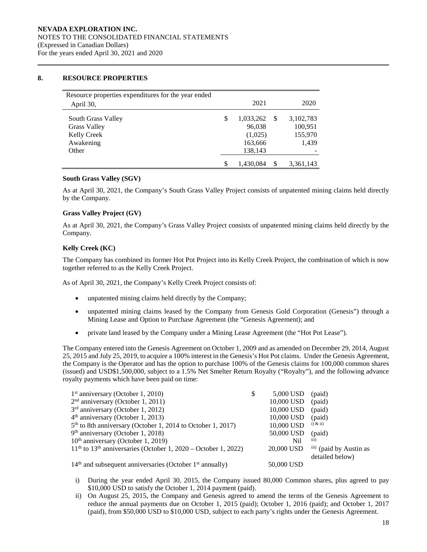### **8. RESOURCE PROPERTIES**

| Resource properties expenditures for the year ended<br>April 30,                      | 2021                                                       |   | 2020                                     |
|---------------------------------------------------------------------------------------|------------------------------------------------------------|---|------------------------------------------|
| South Grass Valley<br><b>Grass Valley</b><br><b>Kelly Creek</b><br>Awakening<br>Other | \$<br>1,033,262<br>96,038<br>(1,025)<br>163,666<br>138,143 | S | 3,102,783<br>100,951<br>155,970<br>1,439 |
|                                                                                       | 1,430,084                                                  |   | 3,361,143                                |

### **South Grass Valley (SGV)**

As at April 30, 2021, the Company's South Grass Valley Project consists of unpatented mining claims held directly by the Company.

# **Grass Valley Project (GV)**

As at April 30, 2021, the Company's Grass Valley Project consists of unpatented mining claims held directly by the Company.

### **Kelly Creek (KC)**

The Company has combined its former Hot Pot Project into its Kelly Creek Project, the combination of which is now together referred to as the Kelly Creek Project.

As of April 30, 2021, the Company's Kelly Creek Project consists of:

- unpatented mining claims held directly by the Company;
- unpatented mining claims leased by the Company from Genesis Gold Corporation (Genesis") through a Mining Lease and Option to Purchase Agreement (the "Genesis Agreement); and
- private land leased by the Company under a Mining Lease Agreement (the "Hot Pot Lease").

The Company entered into the Genesis Agreement on October 1, 2009 and as amended on December 29, 2014, August 25, 2015 and July 25, 2019, to acquire a 100% interest in the Genesis's Hot Pot claims. Under the Genesis Agreement, the Company is the Operator and has the option to purchase 100% of the Genesis claims for 100,000 common shares (issued) and USD\$1,500,000, subject to a 1.5% Net Smelter Return Royalty ("Royalty"), and the following advance royalty payments which have been paid on time:

| $1st$ anniversary (October 1, 2010)                                | S | 5,000 USD  | (paid)                                               |
|--------------------------------------------------------------------|---|------------|------------------------------------------------------|
| $2nd$ anniversary (October 1, 2011)                                |   | 10,000 USD | (paid)                                               |
| $3rd$ anniversary (October 1, 2012)                                |   | 10,000 USD | (paid)                                               |
| $4th$ anniversary (October 1, 2013)                                |   | 10,000 USD | (paid)                                               |
| $5th$ to 8th anniversary (October 1, 2014 to October 1, 2017)      |   | 10,000 USD | $i)$ & $ii)$                                         |
| 9 <sup>th</sup> anniversary (October 1, 2018)                      |   | 50,000 USD | (paid)                                               |
| 10 <sup>th</sup> anniversary (October 1, 2019)                     |   | Nil        | iii)                                                 |
| $11th$ to $13th$ anniversaries (October 1, 2020 – October 1, 2022) |   | 20,000 USD | <sup>111</sup> (paid by Austin as<br>detailed below) |
| $14th$ and subsequent anniversaries (October $1st$ annually)       |   | 50,000 USD |                                                      |

- i) During the year ended April 30, 2015, the Company issued 80,000 Common shares, plus agreed to pay \$10,000 USD to satisfy the October 1, 2014 payment (paid).
- ii) On August 25, 2015, the Company and Genesis agreed to amend the terms of the Genesis Agreement to reduce the annual payments due on October 1, 2015 (paid); October 1, 2016 (paid); and October 1, 2017 (paid), from \$50,000 USD to \$10,000 USD, subject to each party's rights under the Genesis Agreement.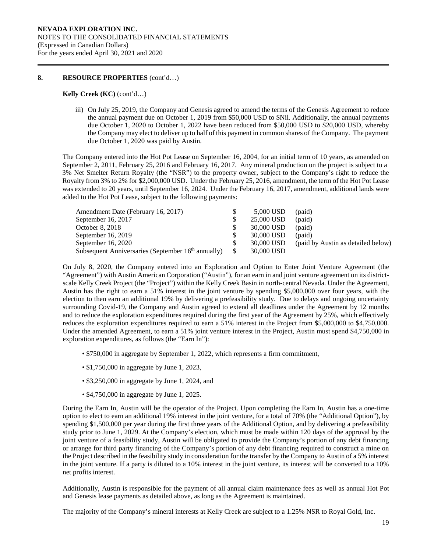#### **8. RESOURCE PROPERTIES** (cont'd…)

### **Kelly Creek (KC)** (cont'd…)

iii) On July 25, 2019, the Company and Genesis agreed to amend the terms of the Genesis Agreement to reduce the annual payment due on October 1, 2019 from \$50,000 USD to \$Nil. Additionally, the annual payments due October 1, 2020 to October 1, 2022 have been reduced from \$50,000 USD to \$20,000 USD, whereby the Company may elect to deliver up to half of this payment in common shares of the Company. The payment due October 1, 2020 was paid by Austin.

The Company entered into the Hot Pot Lease on September 16, 2004, for an initial term of 10 years, as amended on September 2, 2011, February 25, 2016 and February 16, 2017. Any mineral production on the project is subject to a 3% Net Smelter Return Royalty (the "NSR") to the property owner, subject to the Company's right to reduce the Royalty from 3% to 2% for \$2,000,000 USD. Under the February 25, 2016, amendment, the term of the Hot Pot Lease was extended to 20 years, until September 16, 2024. Under the February 16, 2017, amendment, additional lands were added to the Hot Pot Lease, subject to the following payments:

| Amendment Date (February 16, 2017)                             | 5,000 USD  | (paid)                             |
|----------------------------------------------------------------|------------|------------------------------------|
| September 16, 2017                                             | 25,000 USD | (paid)                             |
| October 8, 2018                                                | 30,000 USD | (paid)                             |
| September $16, 2019$                                           | 30,000 USD | (paid)                             |
| September $16, 2020$                                           | 30,000 USD | (paid by Austin as detailed below) |
| Subsequent Anniversaries (September 16 <sup>th</sup> annually) | 30,000 USD |                                    |

On July 8, 2020, the Company entered into an Exploration and Option to Enter Joint Venture Agreement (the "Agreement") with Austin American Corporation ("Austin"), for an earn in and joint venture agreement on its districtscale Kelly Creek Project (the "Project") within the Kelly Creek Basin in north-central Nevada. Under the Agreement, Austin has the right to earn a 51% interest in the joint venture by spending \$5,000,000 over four years, with the election to then earn an additional 19% by delivering a prefeasibility study. Due to delays and ongoing uncertainty surrounding Covid-19, the Company and Austin agreed to extend all deadlines under the Agreement by 12 months and to reduce the exploration expenditures required during the first year of the Agreement by 25%, which effectively reduces the exploration expenditures required to earn a 51% interest in the Project from \$5,000,000 to \$4,750,000. Under the amended Agreement, to earn a 51% joint venture interest in the Project, Austin must spend \$4,750,000 in exploration expenditures, as follows (the "Earn In"):

- \$750,000 in aggregate by September 1, 2022, which represents a firm commitment,
- \$1,750,000 in aggregate by June 1, 2023,
- \$3,250,000 in aggregate by June 1, 2024, and
- \$4,750,000 in aggregate by June 1, 2025.

During the Earn In, Austin will be the operator of the Project. Upon completing the Earn In, Austin has a one-time option to elect to earn an additional 19% interest in the joint venture, for a total of 70% (the "Additional Option"), by spending \$1,500,000 per year during the first three years of the Additional Option, and by delivering a prefeasibility study prior to June 1, 2029. At the Company's election, which must be made within 120 days of the approval by the joint venture of a feasibility study, Austin will be obligated to provide the Company's portion of any debt financing or arrange for third party financing of the Company's portion of any debt financing required to construct a mine on the Project described in the feasibility study in consideration for the transfer by the Company to Austin of a 5% interest in the joint venture. If a party is diluted to a 10% interest in the joint venture, its interest will be converted to a 10% net profits interest.

Additionally, Austin is responsible for the payment of all annual claim maintenance fees as well as annual Hot Pot and Genesis lease payments as detailed above, as long as the Agreement is maintained.

The majority of the Company's mineral interests at Kelly Creek are subject to a 1.25% NSR to Royal Gold, Inc.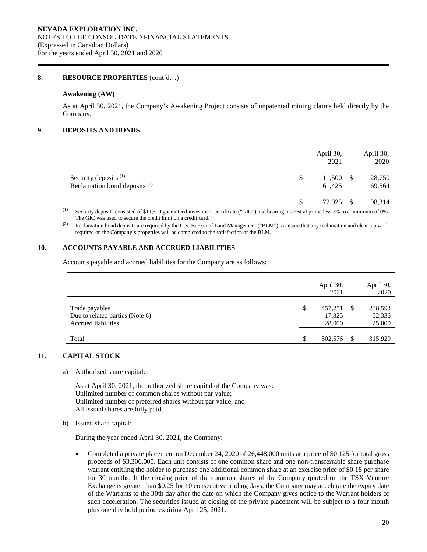### **8. RESOURCE PROPERTIES** (cont'd…)

#### **Awakening (AW)**

As at April 30, 2021, the Company's Awakening Project consists of unpatented mining claims held directly by the Company.

# **9. DEPOSITS AND BONDS**

|                                                                              | April 30,<br>2021      |    | April 30,<br>2020 |
|------------------------------------------------------------------------------|------------------------|----|-------------------|
| Security deposits <sup>(1)</sup><br>Reclamation bond deposits <sup>(2)</sup> | \$<br>11,500<br>61,425 | -S | 28,750<br>69,564  |
|                                                                              | 72,925                 | -S | 98,314            |

<sup>(1)</sup> Security deposits consisted of \$11,500 guaranteed investment certificate ("GIC") and bearing interest at prime less 2% to a minimum of 0%. The GIC was used to secure the credit limit on a credit card.

**(2)** Reclamation bond deposits are required by the U.S. Bureau of Land Management ("BLM") to ensure that any reclamation and clean-up work required on the Company's properties will be completed to the satisfaction of the BLM.

# **10. ACCOUNTS PAYABLE AND ACCRUED LIABILITIES**

Accounts payable and accrued liabilities for the Company are as follows:

|                                                                                 | April 30,<br>2021                 | April 30,<br>2020           |
|---------------------------------------------------------------------------------|-----------------------------------|-----------------------------|
| Trade payables<br>Due to related parties (Note 6)<br><b>Accrued liabilities</b> | \$<br>457,251<br>17,325<br>28,000 | 238,593<br>52,336<br>25,000 |
| Total                                                                           | \$<br>502,576                     | 315,929                     |

# **11. CAPITAL STOCK**

### a) Authorized share capital:

As at April 30, 2021, the authorized share capital of the Company was: Unlimited number of common shares without par value; Unlimited number of preferred shares without par value; and All issued shares are fully paid

#### b) Issued share capital:

During the year ended April 30, 2021, the Company:

• Completed a private placement on December 24, 2020 of 26,448,000 units at a price of \$0.125 for total gross proceeds of \$3,306,000. Each unit consists of one common share and one non-transferrable share purchase warrant entitling the holder to purchase one additional common share at an exercise price of \$0.18 per share for 30 months. If the closing price of the common shares of the Company quoted on the TSX Venture Exchange is greater than \$0.25 for 10 consecutive trading days, the Company may accelerate the expiry date of the Warrants to the 30th day after the date on which the Company gives notice to the Warrant holders of such acceleration. The securities issued at closing of the private placement will be subject to a four month plus one day hold period expiring April 25, 2021.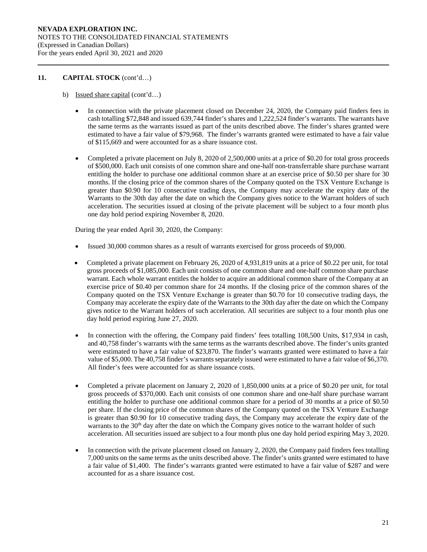- b) Issued share capital (cont'd…)
	- In connection with the private placement closed on December 24, 2020, the Company paid finders fees in cash totalling \$72,848 and issued 639,744 finder's shares and 1,222,524 finder's warrants. The warrants have the same terms as the warrants issued as part of the units described above. The finder's shares granted were estimated to have a fair value of \$79,968. The finder's warrants granted were estimated to have a fair value of \$115,669 and were accounted for as a share issuance cost.
	- Completed a private placement on July 8, 2020 of 2,500,000 units at a price of \$0.20 for total gross proceeds of \$500,000. Each unit consists of one common share and one-half non-transferrable share purchase warrant entitling the holder to purchase one additional common share at an exercise price of \$0.50 per share for 30 months. If the closing price of the common shares of the Company quoted on the TSX Venture Exchange is greater than \$0.90 for 10 consecutive trading days, the Company may accelerate the expiry date of the Warrants to the 30th day after the date on which the Company gives notice to the Warrant holders of such acceleration. The securities issued at closing of the private placement will be subject to a four month plus one day hold period expiring November 8, 2020.

During the year ended April 30, 2020, the Company:

- Issued 30,000 common shares as a result of warrants exercised for gross proceeds of \$9,000.
- Completed a private placement on February 26, 2020 of 4,931,819 units at a price of \$0.22 per unit, for total gross proceeds of \$1,085,000. Each unit consists of one common share and one-half common share purchase warrant. Each whole warrant entitles the holder to acquire an additional common share of the Company at an exercise price of \$0.40 per common share for 24 months. If the closing price of the common shares of the Company quoted on the TSX Venture Exchange is greater than \$0.70 for 10 consecutive trading days, the Company may accelerate the expiry date of the Warrants to the 30th day after the date on which the Company gives notice to the Warrant holders of such acceleration. All securities are subject to a four month plus one day hold period expiring June 27, 2020.
- In connection with the offering, the Company paid finders' fees totalling 108,500 Units, \$17,934 in cash, and 40,758 finder's warrants with the same terms as the warrants described above. The finder's units granted were estimated to have a fair value of \$23,870. The finder's warrants granted were estimated to have a fair value of \$5,000. The 40,758 finder's warrants separately issued were estimated to have a fair value of \$6,370. All finder's fees were accounted for as share issuance costs.
- Completed a private placement on January 2, 2020 of 1,850,000 units at a price of \$0.20 per unit, for total gross proceeds of \$370,000. Each unit consists of one common share and one-half share purchase warrant entitling the holder to purchase one additional common share for a period of 30 months at a price of \$0.50 per share. If the closing price of the common shares of the Company quoted on the TSX Venture Exchange is greater than \$0.90 for 10 consecutive trading days, the Company may accelerate the expiry date of the warrants to the 30<sup>th</sup> day after the date on which the Company gives notice to the warrant holder of such acceleration. All securities issued are subject to a four month plus one day hold period expiring May 3, 2020.
- In connection with the private placement closed on January 2, 2020, the Company paid finders fees totalling 7,000 units on the same terms as the units described above. The finder's units granted were estimated to have a fair value of \$1,400. The finder's warrants granted were estimated to have a fair value of \$287 and were accounted for as a share issuance cost.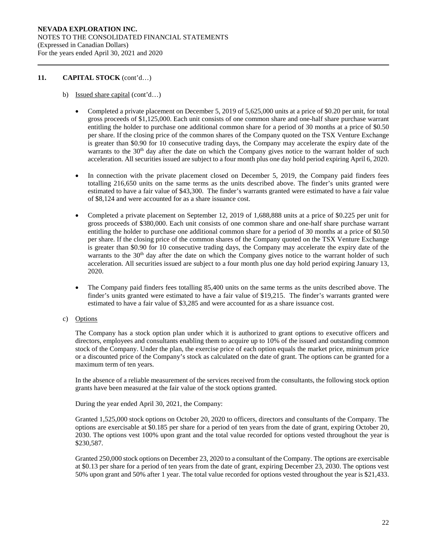- b) Issued share capital (cont'd…)
	- Completed a private placement on December 5, 2019 of 5,625,000 units at a price of \$0.20 per unit, for total gross proceeds of \$1,125,000. Each unit consists of one common share and one-half share purchase warrant entitling the holder to purchase one additional common share for a period of 30 months at a price of \$0.50 per share. If the closing price of the common shares of the Company quoted on the TSX Venture Exchange is greater than \$0.90 for 10 consecutive trading days, the Company may accelerate the expiry date of the warrants to the 30<sup>th</sup> day after the date on which the Company gives notice to the warrant holder of such acceleration. All securities issued are subject to a four month plus one day hold period expiring April 6, 2020.
	- In connection with the private placement closed on December 5, 2019, the Company paid finders fees totalling 216,650 units on the same terms as the units described above. The finder's units granted were estimated to have a fair value of \$43,300. The finder's warrants granted were estimated to have a fair value of \$8,124 and were accounted for as a share issuance cost.
	- Completed a private placement on September 12, 2019 of 1,688,888 units at a price of \$0.225 per unit for gross proceeds of \$380,000. Each unit consists of one common share and one-half share purchase warrant entitling the holder to purchase one additional common share for a period of 30 months at a price of \$0.50 per share. If the closing price of the common shares of the Company quoted on the TSX Venture Exchange is greater than \$0.90 for 10 consecutive trading days, the Company may accelerate the expiry date of the warrants to the 30<sup>th</sup> day after the date on which the Company gives notice to the warrant holder of such acceleration. All securities issued are subject to a four month plus one day hold period expiring January 13, 2020.
	- The Company paid finders fees totalling 85,400 units on the same terms as the units described above. The finder's units granted were estimated to have a fair value of \$19,215. The finder's warrants granted were estimated to have a fair value of \$3,285 and were accounted for as a share issuance cost.
- c) Options

The Company has a stock option plan under which it is authorized to grant options to executive officers and directors, employees and consultants enabling them to acquire up to 10% of the issued and outstanding common stock of the Company. Under the plan, the exercise price of each option equals the market price, minimum price or a discounted price of the Company's stock as calculated on the date of grant. The options can be granted for a maximum term of ten years.

In the absence of a reliable measurement of the services received from the consultants, the following stock option grants have been measured at the fair value of the stock options granted.

During the year ended April 30, 2021, the Company:

Granted 1,525,000 stock options on October 20, 2020 to officers, directors and consultants of the Company. The options are exercisable at \$0.185 per share for a period of ten years from the date of grant, expiring October 20, 2030. The options vest 100% upon grant and the total value recorded for options vested throughout the year is \$230,587.

Granted 250,000 stock options on December 23, 2020 to a consultant of the Company. The options are exercisable at \$0.13 per share for a period of ten years from the date of grant, expiring December 23, 2030. The options vest 50% upon grant and 50% after 1 year. The total value recorded for options vested throughout the year is \$21,433.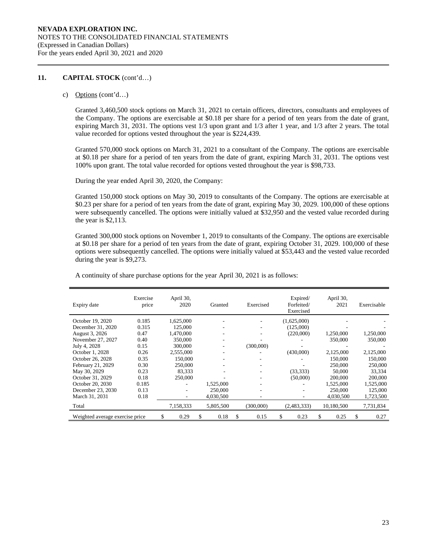c) Options (cont'd…)

Granted 3,460,500 stock options on March 31, 2021 to certain officers, directors, consultants and employees of the Company. The options are exercisable at \$0.18 per share for a period of ten years from the date of grant, expiring March 31, 2031. The options vest 1/3 upon grant and 1/3 after 1 year, and 1/3 after 2 years. The total value recorded for options vested throughout the year is \$224,439.

Granted 570,000 stock options on March 31, 2021 to a consultant of the Company. The options are exercisable at \$0.18 per share for a period of ten years from the date of grant, expiring March 31, 2031. The options vest 100% upon grant. The total value recorded for options vested throughout the year is \$98,733.

During the year ended April 30, 2020, the Company:

Granted 150,000 stock options on May 30, 2019 to consultants of the Company. The options are exercisable at \$0.23 per share for a period of ten years from the date of grant, expiring May 30, 2029. 100,000 of these options were subsequently cancelled. The options were initially valued at \$32,950 and the vested value recorded during the year is \$2,113.

Granted 300,000 stock options on November 1, 2019 to consultants of the Company. The options are exercisable at \$0.18 per share for a period of ten years from the date of grant, expiring October 31, 2029. 100,000 of these options were subsequently cancelled. The options were initially valued at \$53,443 and the vested value recorded during the year is \$9,273.

A continuity of share purchase options for the year April 30, 2021 is as follows:

| Expiry date                     | Exercise<br>price | April 30,<br>2020 | Granted   |    | Exercised | Expired/<br>Forfeited/<br>Exercised | April 30,<br>2021 |   | Exercisable |
|---------------------------------|-------------------|-------------------|-----------|----|-----------|-------------------------------------|-------------------|---|-------------|
| October 19, 2020                | 0.185             | 1.625,000         |           |    |           | (1,625,000)                         |                   |   |             |
| December 31, 2020               | 0.315             | 125,000           |           |    |           | (125,000)                           |                   |   |             |
| August 3, 2026                  | 0.47              | 1,470,000         |           |    |           | (220,000)                           | 1,250,000         |   | 1,250,000   |
| November 27, 2027               | 0.40              | 350,000           |           |    |           |                                     | 350,000           |   | 350,000     |
| July 4, 2028                    | 0.15              | 300,000           |           |    | (300,000) |                                     |                   |   |             |
| October 1, 2028                 | 0.26              | 2,555,000         |           |    |           | (430,000)                           | 2,125,000         |   | 2,125,000   |
| October 26, 2028                | 0.35              | 150,000           |           |    |           |                                     | 150,000           |   | 150,000     |
| February 21, 2029               | 0.30              | 250,000           |           |    |           |                                     | 250,000           |   | 250,000     |
| May 30, 2029                    | 0.23              | 83.333            |           |    |           | (33, 333)                           | 50,000            |   | 33.334      |
| October 31, 2029                | 0.18              | 250,000           |           |    |           | (50,000)                            | 200,000           |   | 200,000     |
| October 20, 2030                | 0.185             |                   | 1,525,000 |    |           |                                     | 1,525,000         |   | 1,525,000   |
| December 23, 2030               | 0.13              |                   | 250,000   |    |           |                                     | 250,000           |   | 125,000     |
| March 31, 2031                  | 0.18              | ÷                 | 4.030.500 |    |           |                                     | 4.030.500         |   | 1,723,500   |
| Total                           |                   | 7,158,333         | 5,805,500 |    | (300,000) | (2,483,333)                         | 10,180,500        |   | 7,731,834   |
| Weighted average exercise price |                   | 0.29              | 0.18<br>S | S. | 0.15      | 0.23<br>S                           | 0.25<br>\$.       | ж | 0.27        |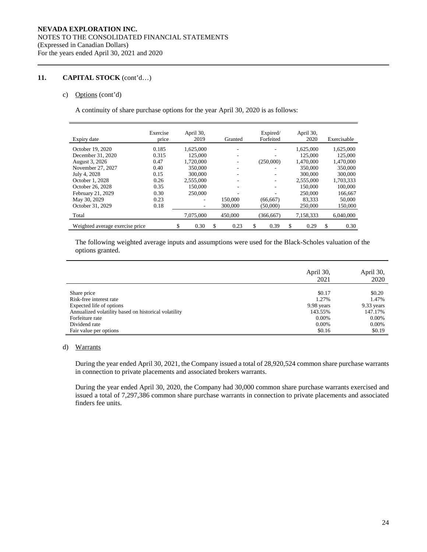### c) Options (cont'd)

A continuity of share purchase options for the year April 30, 2020 is as follows:

| Expiry date                     | Exercise<br>price | April 30,<br>2019 | Granted    | Expired/<br>Forfeited | April 30,<br>2020 | Exercisable |
|---------------------------------|-------------------|-------------------|------------|-----------------------|-------------------|-------------|
| October 19, 2020                | 0.185             | 1.625,000         |            |                       | 1.625,000         | 1,625,000   |
| December 31, 2020               | 0.315             | 125,000           | ۰          |                       | 125,000           | 125,000     |
| August 3, 2026                  | 0.47              | 1,720,000         |            | (250,000)             | 1,470,000         | 1,470,000   |
| November 27, 2027               | 0.40              | 350,000           |            |                       | 350,000           | 350,000     |
| July 4, 2028                    | 0.15              | 300,000           |            |                       | 300,000           | 300,000     |
| October 1, 2028                 | 0.26              | 2.555,000         |            | ٠                     | 2.555,000         | 1,703,333   |
| October 26, 2028                | 0.35              | 150,000           |            | ٠                     | 150,000           | 100,000     |
| February 21, 2029               | 0.30              | 250,000           |            |                       | 250,000           | 166,667     |
| May 30, 2029                    | 0.23              | ۰                 | 150,000    | (66, 667)             | 83.333            | 50,000      |
| October 31, 2029                | 0.18              |                   | 300,000    | (50,000)              | 250,000           | 150,000     |
| Total                           |                   | 7,075,000         | 450,000    | (366, 667)            | 7,158,333         | 6,040,000   |
| Weighted average exercise price |                   | \$<br>0.30        | \$<br>0.23 | \$<br>0.39            | \$<br>0.29        | \$<br>0.30  |

The following weighted average inputs and assumptions were used for the Black-Scholes valuation of the options granted.

|                                                      | April 30,<br>2021 | April 30,<br>2020 |
|------------------------------------------------------|-------------------|-------------------|
| Share price<br>Risk-free interest rate               | \$0.17<br>1.27%   | \$0.20<br>1.47%   |
| Expected life of options                             | 9.98 years        | 9.33 years        |
| Annualized volatility based on historical volatility | 143.55%           | 147.17%           |
| Forfeiture rate                                      | 0.00%             | 0.00%             |
| Dividend rate                                        | 0.00%             | 0.00%             |
| Fair value per options                               | \$0.16            | \$0.19            |

# d) Warrants

During the year ended April 30, 2021, the Company issued a total of 28,920,524 common share purchase warrants in connection to private placements and associated brokers warrants.

During the year ended April 30, 2020, the Company had 30,000 common share purchase warrants exercised and issued a total of 7,297,386 common share purchase warrants in connection to private placements and associated finders fee units.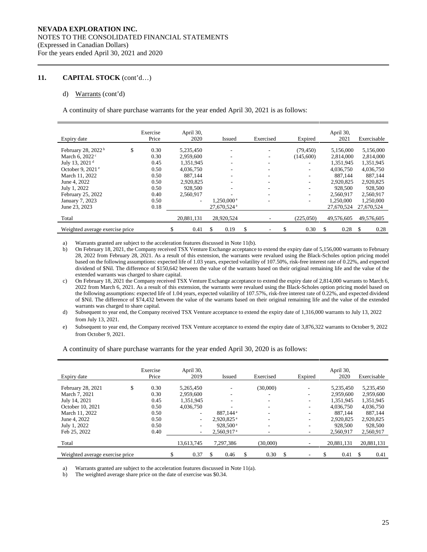#### d) Warrants (cont'd)

A continuity of share purchase warrants for the year ended April 30, 2021 is as follows:

| Expiry date                     | Exercise<br>Price | April 30,<br>2020 | <b>Issued</b>           | Exercised | Expired    | April 30,<br>2021 | Exercisable |      |
|---------------------------------|-------------------|-------------------|-------------------------|-----------|------------|-------------------|-------------|------|
| February 28, 2022 <sup>b</sup>  | \$<br>0.30        | 5,235,450         |                         |           | (79, 450)  | 5,156,000         | 5,156,000   |      |
| March 6, 2022 <sup>c</sup>      | 0.30              | 2,959,600         |                         |           | (145,600)  | 2,814,000         | 2,814,000   |      |
| July 13, 2021 <sup>d</sup>      | 0.45              | 1,351,945         |                         |           |            | 1,351,945         | 1,351,945   |      |
| October 9, 2021 $e$             | 0.50              | 4,036,750         | ۰                       |           |            | 4,036,750         | 4,036,750   |      |
| March 11, 2022                  | 0.50              | 887,144           | ۰                       |           | ۰          | 887.144           | 887,144     |      |
| June 4, 2022                    | 0.50              | 2,920,825         | ۰                       |           |            | 2,920,825         | 2,920,825   |      |
| July 1, 2022                    | 0.50              | 928,500           |                         |           |            | 928,500           | 928,500     |      |
| February 25, 2022               | 0.40              | 2,560,917         |                         |           | ۰.         | 2,560,917         | 2,560,917   |      |
| January 7, 2023                 | 0.50              | ۰                 | 1,250,000 <sup>a</sup>  |           |            | 1.250,000         | 1,250,000   |      |
| June 23, 2023                   | 0.18              |                   | 27,670,524 <sup>a</sup> |           |            | 27,670,524        | 27,670,524  |      |
| Total                           |                   | 20,881,131        | 28,920,524              |           | (225,050)  | 49,576,605        | 49,576,605  |      |
| Weighted average exercise price |                   | \$<br>0.41        | \$<br>0.19              | \$        | \$<br>0.30 | \$<br>0.28        | \$          | 0.28 |

a) Warrants granted are subject to the acceleration features discussed in Note 11(b).

b) On February 18, 2021, the Company received TSX Venture Exchange acceptance to extend the expiry date of 5,156,000 warrants to February 28, 2022 from February 28, 2021. As a result of this extension, the warrants were revalued using the Black-Scholes option pricing model based on the following assumptions: expected life of 1.03 years, expected volatility of 107.50%, risk-free interest rate of 0.22%, and expected dividend of \$Nil. The difference of \$150,642 between the value of the warrants based on their original remaining life and the value of the extended warrants was charged to share capital.

c) On February 18, 2021 the Company received TSX Venture Exchange acceptance to extend the expiry date of 2,814,000 warrants to March 6, 2022 from March 6, 2021. As a result of this extension, the warrants were revalued using the Black-Scholes option pricing model based on the following assumptions: expected life of 1.04 years, expected volatility of 107.57%, risk-free interest rate of 0.22%, and expected dividend of \$Nil. The difference of \$74,432 between the value of the warrants based on their original remaining life and the value of the extended warrants was charged to share capital.

- d) Subsequent to year end, the Company received TSX Venture acceptance to extend the expiry date of 1,316,000 warrants to July 13, 2022 from July 13, 2021.
- e) Subsequent to year end, the Company received TSX Venture acceptance to extend the expiry date of 3,876,322 warrants to October 9, 2022 from October 9, 2021.

| Expiry date                     | Exercise<br>Price | April 30,<br>2019        | <b>Issued</b>            |     | Exercised |     | Expired | April 30,<br>2020 | Exercisable |
|---------------------------------|-------------------|--------------------------|--------------------------|-----|-----------|-----|---------|-------------------|-------------|
| February 28, 2021               | \$<br>0.30        | 5,265,450                |                          |     | (30,000)  |     |         | 5,235,450         | 5,235,450   |
| March 7, 2021                   | 0.30              | 2,959,600                | ۰                        |     |           |     |         | 2.959,600         | 2,959,600   |
| July 14, 2021                   | 0.45              | 1.351.945                |                          |     |           |     |         | 1.351.945         | 1,351,945   |
| October 10, 2021                | 0.50              | 4.036.750                |                          |     | ۰.        |     |         | 4.036.750         | 4,036,750   |
| March 11, 2022                  | 0.50              | $\overline{\phantom{0}}$ | 887.144 <sup>a</sup>     |     |           |     |         | 887.144           | 887.144     |
| June 4, 2022                    | 0.50              | $\overline{\phantom{0}}$ | $2.920.825$ <sup>a</sup> |     | ۰.        |     |         | 2.920.825         | 2,920,825   |
| July 1, 2022                    | 0.50              | $\overline{\phantom{0}}$ | 928.500 <sup>a</sup>     |     | ۰         |     |         | 928,500           | 928,500     |
| Feb 25, 2022                    | 0.40              | $\overline{\phantom{a}}$ | 2.560.917 <sup>a</sup>   |     |           |     |         | 2.560.917         | 2,560,917   |
| Total                           |                   | 13,613,745               | 7,297,386                |     | (30,000)  |     |         | 20,881,131        | 20,881,131  |
| Weighted average exercise price |                   | 0.37                     | 0.46                     | \$. | 0.30      | \$. |         | 0.41              | \$.<br>0.41 |

A continuity of share purchase warrants for the year ended April 30, 2020 is as follows:

a) Warrants granted are subject to the acceleration features discussed in Note 11(a).

b) The weighted average share price on the date of exercise was \$0.34.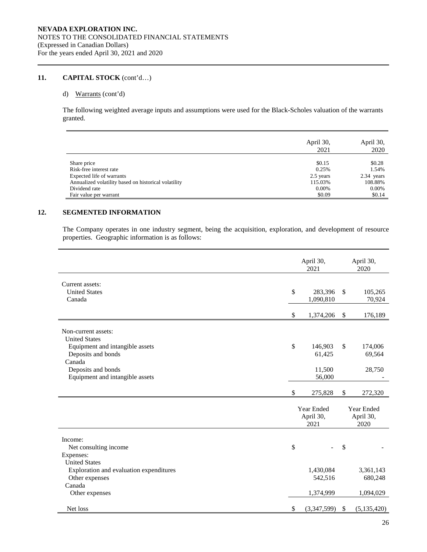### d) Warrants (cont'd)

The following weighted average inputs and assumptions were used for the Black-Scholes valuation of the warrants granted.

|                                                      | April 30,<br>2021 | April 30,<br>2020 |
|------------------------------------------------------|-------------------|-------------------|
| Share price<br>Risk-free interest rate               | \$0.15<br>0.25%   | \$0.28<br>1.54%   |
| Expected life of warrants                            | 2.5 years         | 2.34 years        |
| Annualized volatility based on historical volatility | 115.03%           | 108.88%           |
| Dividend rate                                        | 0.00%             | 0.00%             |
| Fair value per warrant                               | \$0.09            | \$0.14            |

# **12. SEGMENTED INFORMATION**

The Company operates in one industry segment, being the acquisition, exploration, and development of resource properties. Geographic information is as follows:

|                                         | April 30,<br>2021 | April 30,<br>2020   |
|-----------------------------------------|-------------------|---------------------|
| Current assets:                         |                   |                     |
| <b>United States</b>                    | \$<br>283,396     | \$<br>105,265       |
| Canada                                  | 1,090,810         | 70,924              |
|                                         |                   |                     |
|                                         | \$<br>1,374,206   | \$<br>176,189       |
| Non-current assets:                     |                   |                     |
| <b>United States</b>                    |                   |                     |
| Equipment and intangible assets         | \$<br>146,903     | \$<br>174,006       |
| Deposits and bonds                      | 61,425            | 69,564              |
| Canada                                  |                   |                     |
| Deposits and bonds                      | 11,500            | 28,750              |
| Equipment and intangible assets         | 56,000            |                     |
|                                         |                   |                     |
|                                         | \$<br>275,828     | \$<br>272,320       |
|                                         |                   |                     |
|                                         | Year Ended        | Year Ended          |
|                                         | April 30,<br>2021 | April 30,<br>2020   |
|                                         |                   |                     |
| Income:                                 |                   |                     |
| Net consulting income                   | \$                | \$                  |
| Expenses:                               |                   |                     |
| <b>United States</b>                    |                   |                     |
| Exploration and evaluation expenditures | 1,430,084         | 3,361,143           |
| Other expenses                          | 542,516           | 680,248             |
| Canada                                  |                   |                     |
| Other expenses                          | 1,374,999         | 1,094,029           |
| Net loss                                | \$<br>(3,347,599) | \$<br>(5, 135, 420) |
|                                         |                   |                     |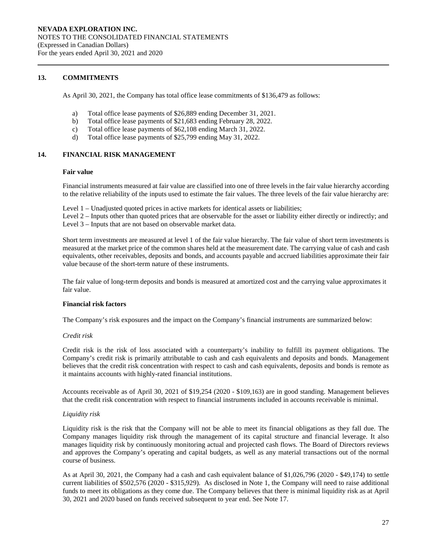### **13. COMMITMENTS**

As April 30, 2021, the Company has total office lease commitments of \$136,479 as follows:

- a) Total office lease payments of \$26,889 ending December 31, 2021.
- b) Total office lease payments of \$21,683 ending February 28, 2022.
- c) Total office lease payments of \$62,108 ending March 31, 2022.
- d) Total office lease payments of \$25,799 ending May 31, 2022.

### **14. FINANCIAL RISK MANAGEMENT**

#### **Fair value**

Financial instruments measured at fair value are classified into one of three levels in the fair value hierarchy according to the relative reliability of the inputs used to estimate the fair values. The three levels of the fair value hierarchy are:

Level 1 – Unadjusted quoted prices in active markets for identical assets or liabilities;

Level 2 – Inputs other than quoted prices that are observable for the asset or liability either directly or indirectly; and Level 3 – Inputs that are not based on observable market data.

Short term investments are measured at level 1 of the fair value hierarchy. The fair value of short term investments is measured at the market price of the common shares held at the measurement date. The carrying value of cash and cash equivalents, other receivables, deposits and bonds, and accounts payable and accrued liabilities approximate their fair value because of the short-term nature of these instruments.

The fair value of long-term deposits and bonds is measured at amortized cost and the carrying value approximates it fair value.

#### **Financial risk factors**

The Company's risk exposures and the impact on the Company's financial instruments are summarized below:

#### *Credit risk*

Credit risk is the risk of loss associated with a counterparty's inability to fulfill its payment obligations. The Company's credit risk is primarily attributable to cash and cash equivalents and deposits and bonds. Management believes that the credit risk concentration with respect to cash and cash equivalents, deposits and bonds is remote as it maintains accounts with highly-rated financial institutions.

Accounts receivable as of April 30, 2021 of \$19,254 (2020 - \$109,163) are in good standing. Management believes that the credit risk concentration with respect to financial instruments included in accounts receivable is minimal.

### *Liquidity risk*

Liquidity risk is the risk that the Company will not be able to meet its financial obligations as they fall due. The Company manages liquidity risk through the management of its capital structure and financial leverage. It also manages liquidity risk by continuously monitoring actual and projected cash flows. The Board of Directors reviews and approves the Company's operating and capital budgets, as well as any material transactions out of the normal course of business.

As at April 30, 2021, the Company had a cash and cash equivalent balance of \$1,026,796 (2020 - \$49,174) to settle current liabilities of \$502,576 (2020 - \$315,929). As disclosed in Note 1, the Company will need to raise additional funds to meet its obligations as they come due. The Company believes that there is minimal liquidity risk as at April 30, 2021 and 2020 based on funds received subsequent to year end. See Note 17.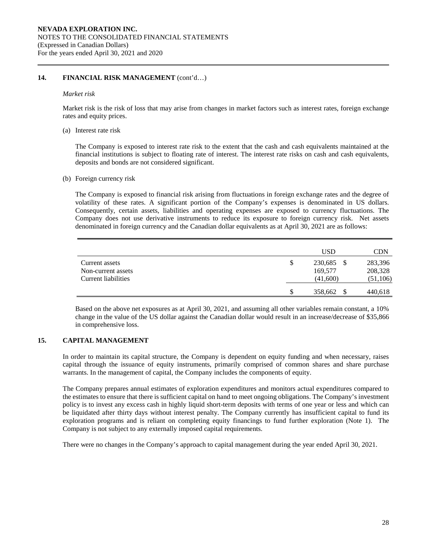### **14. FINANCIAL RISK MANAGEMENT** (cont'd…)

#### *Market risk*

Market risk is the risk of loss that may arise from changes in market factors such as interest rates, foreign exchange rates and equity prices.

(a) Interest rate risk

The Company is exposed to interest rate risk to the extent that the cash and cash equivalents maintained at the financial institutions is subject to floating rate of interest. The interest rate risks on cash and cash equivalents, deposits and bonds are not considered significant.

(b) Foreign currency risk

The Company is exposed to financial risk arising from fluctuations in foreign exchange rates and the degree of volatility of these rates. A significant portion of the Company's expenses is denominated in US dollars. Consequently, certain assets, liabilities and operating expenses are exposed to currency fluctuations. The Company does not use derivative instruments to reduce its exposure to foreign currency risk. Net assets denominated in foreign currency and the Canadian dollar equivalents as at April 30, 2021 are as follows:

|                     |    | <b>USD</b> | CDN       |
|---------------------|----|------------|-----------|
| Current assets      | \$ | 230,685    | 283,396   |
| Non-current assets  |    | 169,577    | 208,328   |
| Current liabilities |    | (41,600)   | (51, 106) |
|                     | S  | 358,662    | 440,618   |

Based on the above net exposures as at April 30, 2021, and assuming all other variables remain constant, a 10% change in the value of the US dollar against the Canadian dollar would result in an increase/decrease of \$35,866 in comprehensive loss.

# **15. CAPITAL MANAGEMENT**

In order to maintain its capital structure, the Company is dependent on equity funding and when necessary, raises capital through the issuance of equity instruments, primarily comprised of common shares and share purchase warrants. In the management of capital, the Company includes the components of equity.

The Company prepares annual estimates of exploration expenditures and monitors actual expenditures compared to the estimates to ensure that there is sufficient capital on hand to meet ongoing obligations. The Company's investment policy is to invest any excess cash in highly liquid short-term deposits with terms of one year or less and which can be liquidated after thirty days without interest penalty. The Company currently has insufficient capital to fund its exploration programs and is reliant on completing equity financings to fund further exploration (Note 1). The Company is not subject to any externally imposed capital requirements.

There were no changes in the Company's approach to capital management during the year ended April 30, 2021.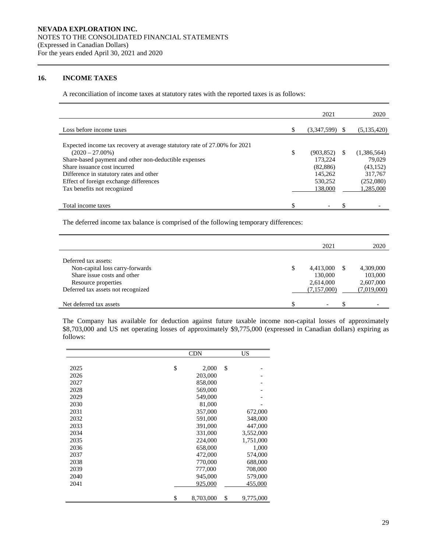# **16. INCOME TAXES**

A reconciliation of income taxes at statutory rates with the reported taxes is as follows:

|                                                                           |   | 2021        |    | 2020        |
|---------------------------------------------------------------------------|---|-------------|----|-------------|
| Loss before income taxes                                                  |   | (3,347,599) |    | (5,135,420) |
| Expected income tax recovery at average statutory rate of 27.00% for 2021 |   |             |    |             |
| $(2020 - 27.00\%)$                                                        | S | (903, 852)  | -S | (1,386,564) |
| Share-based payment and other non-deductible expenses                     |   | 173.224     |    | 79,029      |
| Share issuance cost incurred                                              |   | (82, 886)   |    | (43, 152)   |
| Difference in statutory rates and other                                   |   | 145.262     |    | 317,767     |
| Effect of foreign exchange differences                                    |   | 530.252     |    | (252,080)   |
| Tax benefits not recognized                                               |   | 138,000     |    | 1,285,000   |
|                                                                           |   |             |    |             |
| Total income taxes                                                        |   |             |    |             |

The deferred income tax balance is comprised of the following temporary differences:

|                                    | 2021                     |    | 2020        |
|------------------------------------|--------------------------|----|-------------|
| Deferred tax assets:               |                          |    |             |
| Non-capital loss carry-forwards    | 4,413,000                | S. | 4,309,000   |
| Share issue costs and other        | 130,000                  |    | 103,000     |
| Resource properties                | 2,614,000                |    | 2,607,000   |
| Deferred tax assets not recognized | (7,157,000)              |    | (7,019,000) |
| Net deferred tax assets            | $\overline{\phantom{a}}$ |    |             |

The Company has available for deduction against future taxable income non-capital losses of approximately \$8,703,000 and US net operating losses of approximately \$9,775,000 (expressed in Canadian dollars) expiring as follows:

|      | <b>CDN</b>      | US              |  |
|------|-----------------|-----------------|--|
| 2025 | \$<br>2,000     | \$              |  |
| 2026 | 203,000         |                 |  |
| 2027 | 858,000         |                 |  |
| 2028 | 569,000         |                 |  |
| 2029 | 549,000         |                 |  |
| 2030 | 81,000          |                 |  |
| 2031 | 357,000         | 672,000         |  |
| 2032 | 591,000         | 348,000         |  |
| 2033 | 391,000         | 447,000         |  |
| 2034 | 331,000         | 3,552,000       |  |
| 2035 | 224,000         | 1,751,000       |  |
| 2036 | 658,000         | 1,000           |  |
| 2037 | 472,000         | 574,000         |  |
| 2038 | 770,000         | 688,000         |  |
| 2039 | 777,000         | 708,000         |  |
| 2040 | 945,000         | 579,000         |  |
| 2041 | 925,000         | 455,000         |  |
|      | \$<br>8,703,000 | \$<br>9,775,000 |  |